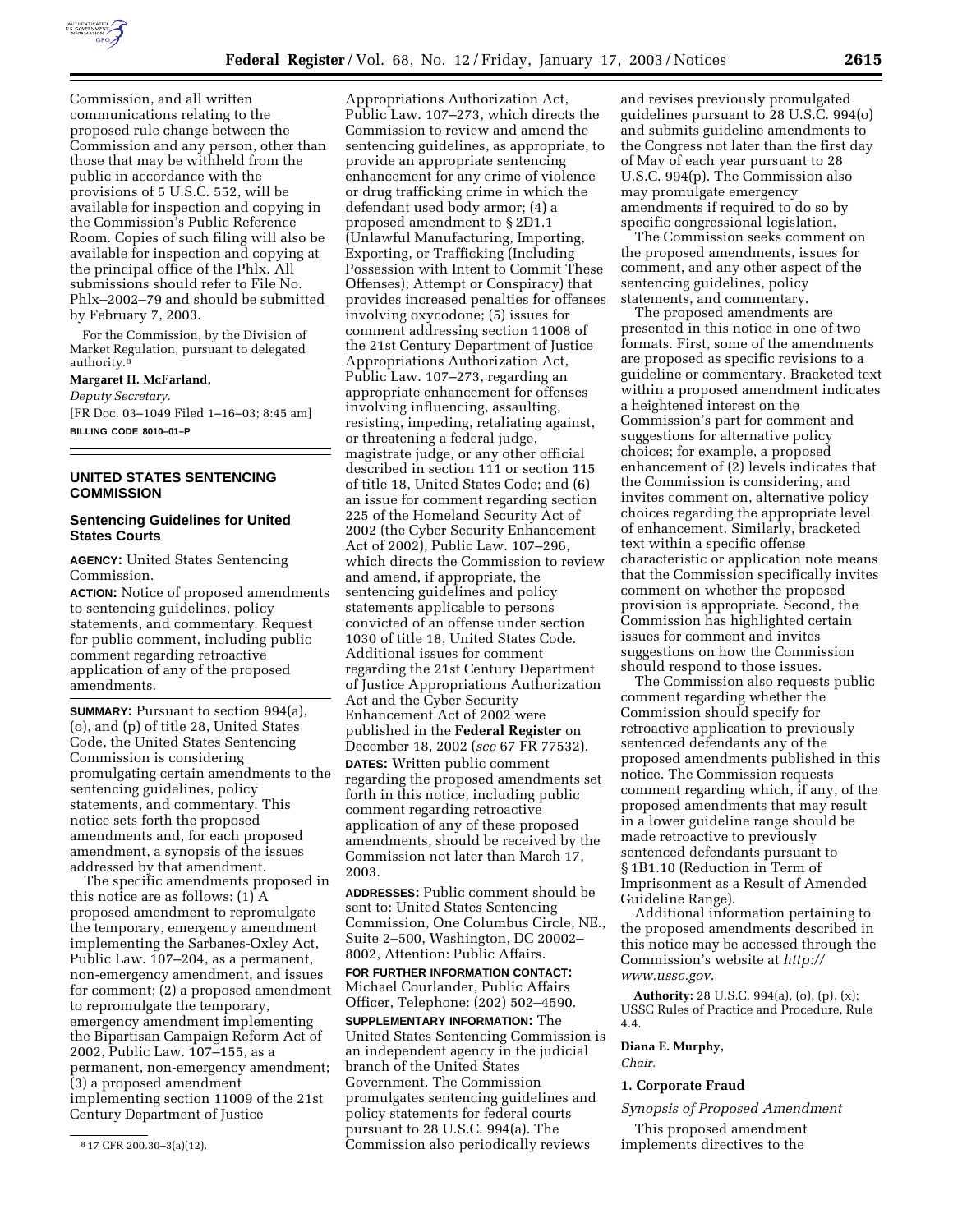

Commission, and all written communications relating to the proposed rule change between the Commission and any person, other than those that may be withheld from the public in accordance with the provisions of 5 U.S.C. 552, will be available for inspection and copying in the Commission's Public Reference Room. Copies of such filing will also be available for inspection and copying at the principal office of the Phlx. All submissions should refer to File No. Phlx–2002–79 and should be submitted by February 7, 2003.

For the Commission, by the Division of Market Regulation, pursuant to delegated authority.8

**Margaret H. McFarland,**  *Deputy Secretary.*

[FR Doc. 03–1049 Filed 1–16–03; 8:45 am] **BILLING CODE 8010–01–P**

# **UNITED STATES SENTENCING COMMISSION**

# **Sentencing Guidelines for United States Courts**

**AGENCY:** United States Sentencing Commission.

**ACTION:** Notice of proposed amendments to sentencing guidelines, policy statements, and commentary. Request for public comment, including public comment regarding retroactive application of any of the proposed amendments.

**SUMMARY:** Pursuant to section 994(a), (o), and (p) of title 28, United States Code, the United States Sentencing Commission is considering promulgating certain amendments to the sentencing guidelines, policy statements, and commentary. This notice sets forth the proposed amendments and, for each proposed amendment, a synopsis of the issues addressed by that amendment.

The specific amendments proposed in this notice are as follows: (1) A proposed amendment to repromulgate the temporary, emergency amendment implementing the Sarbanes-Oxley Act, Public Law. 107–204, as a permanent, non-emergency amendment, and issues for comment; (2) a proposed amendment to repromulgate the temporary, emergency amendment implementing the Bipartisan Campaign Reform Act of 2002, Public Law. 107–155, as a permanent, non-emergency amendment; (3) a proposed amendment implementing section 11009 of the 21st Century Department of Justice

Appropriations Authorization Act, Public Law. 107–273, which directs the Commission to review and amend the sentencing guidelines, as appropriate, to provide an appropriate sentencing enhancement for any crime of violence or drug trafficking crime in which the defendant used body armor; (4) a proposed amendment to § 2D1.1 (Unlawful Manufacturing, Importing, Exporting, or Trafficking (Including Possession with Intent to Commit These Offenses); Attempt or Conspiracy) that provides increased penalties for offenses involving oxycodone; (5) issues for comment addressing section 11008 of the 21st Century Department of Justice Appropriations Authorization Act, Public Law. 107–273, regarding an appropriate enhancement for offenses involving influencing, assaulting, resisting, impeding, retaliating against, or threatening a federal judge, magistrate judge, or any other official described in section 111 or section 115 of title 18, United States Code; and (6) an issue for comment regarding section 225 of the Homeland Security Act of 2002 (the Cyber Security Enhancement Act of 2002), Public Law. 107–296, which directs the Commission to review and amend, if appropriate, the sentencing guidelines and policy statements applicable to persons convicted of an offense under section 1030 of title 18, United States Code. Additional issues for comment regarding the 21st Century Department of Justice Appropriations Authorization Act and the Cyber Security Enhancement Act of 2002 were published in the **Federal Register** on December 18, 2002 (*see* 67 FR 77532). **DATES:** Written public comment

regarding the proposed amendments set forth in this notice, including public comment regarding retroactive application of any of these proposed amendments, should be received by the Commission not later than March 17, 2003.

**ADDRESSES:** Public comment should be sent to: United States Sentencing Commission, One Columbus Circle, NE., Suite 2–500, Washington, DC 20002– 8002, Attention: Public Affairs.

**FOR FURTHER INFORMATION CONTACT:** Michael Courlander, Public Affairs Officer, Telephone: (202) 502–4590.

**SUPPLEMENTARY INFORMATION:** The United States Sentencing Commission is an independent agency in the judicial branch of the United States Government. The Commission promulgates sentencing guidelines and policy statements for federal courts pursuant to 28 U.S.C. 994(a). The Commission also periodically reviews

and revises previously promulgated guidelines pursuant to 28 U.S.C. 994(o) and submits guideline amendments to the Congress not later than the first day of May of each year pursuant to 28 U.S.C. 994(p). The Commission also may promulgate emergency amendments if required to do so by specific congressional legislation.

The Commission seeks comment on the proposed amendments, issues for comment, and any other aspect of the sentencing guidelines, policy statements, and commentary.

The proposed amendments are presented in this notice in one of two formats. First, some of the amendments are proposed as specific revisions to a guideline or commentary. Bracketed text within a proposed amendment indicates a heightened interest on the Commission's part for comment and suggestions for alternative policy choices; for example, a proposed enhancement of (2) levels indicates that the Commission is considering, and invites comment on, alternative policy choices regarding the appropriate level of enhancement. Similarly, bracketed text within a specific offense characteristic or application note means that the Commission specifically invites comment on whether the proposed provision is appropriate. Second, the Commission has highlighted certain issues for comment and invites suggestions on how the Commission should respond to those issues.

The Commission also requests public comment regarding whether the Commission should specify for retroactive application to previously sentenced defendants any of the proposed amendments published in this notice. The Commission requests comment regarding which, if any, of the proposed amendments that may result in a lower guideline range should be made retroactive to previously sentenced defendants pursuant to § 1B1.10 (Reduction in Term of Imprisonment as a Result of Amended Guideline Range).

Additional information pertaining to the proposed amendments described in this notice may be accessed through the Commission's website at *http:// www.ussc.gov*.

**Authority:** 28 U.S.C. 994(a), (o), (p), (x); USSC Rules of Practice and Procedure, Rule 4.4.

### **Diana E. Murphy,**  *Chair.*

#### **1. Corporate Fraud**

*Synopsis of Proposed Amendment* 

This proposed amendment implements directives to the

<sup>8</sup> 17 CFR 200.30–3(a)(12).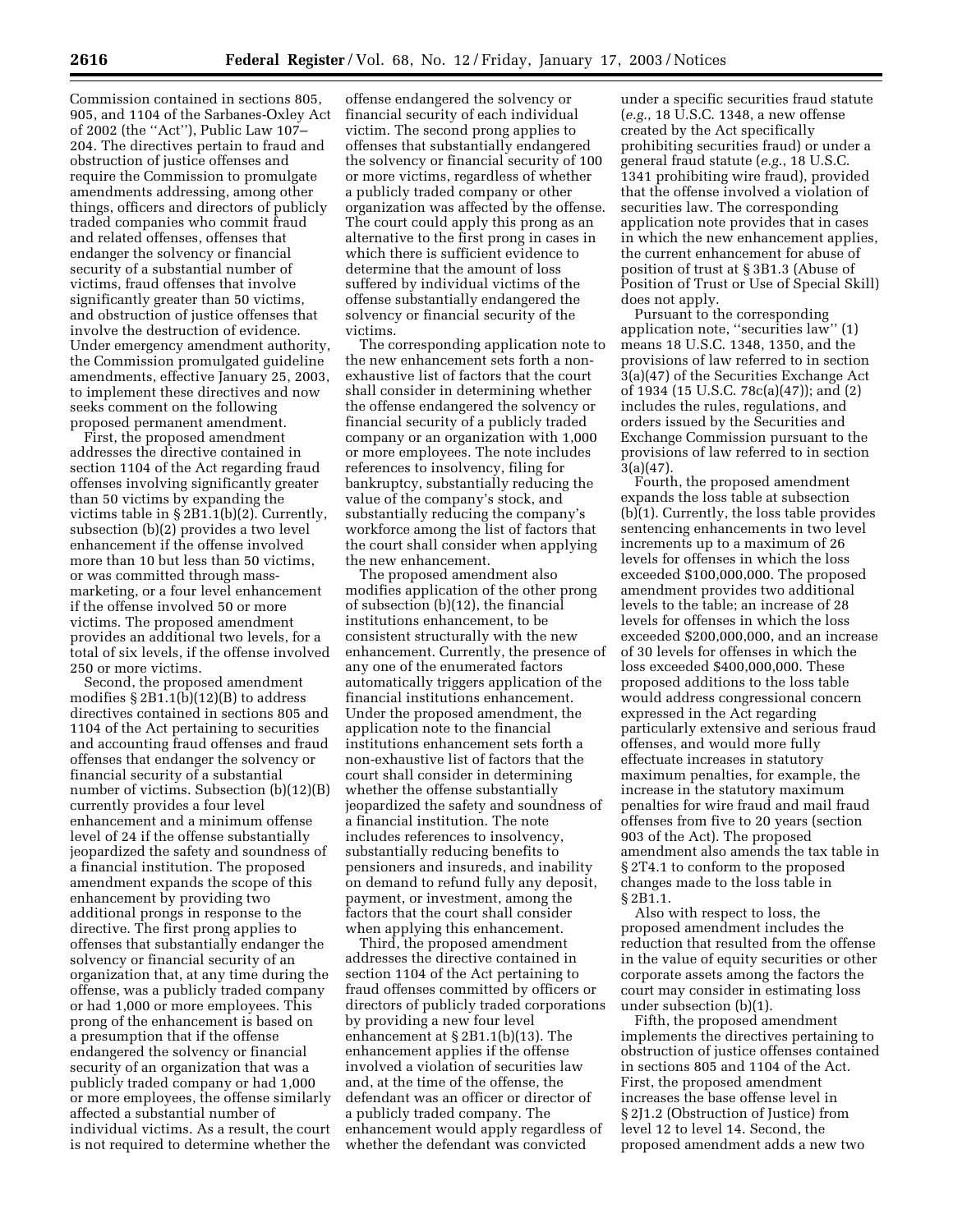Commission contained in sections 805, 905, and 1104 of the Sarbanes-Oxley Act of 2002 (the ''Act''), Public Law 107– 204. The directives pertain to fraud and obstruction of justice offenses and require the Commission to promulgate amendments addressing, among other things, officers and directors of publicly traded companies who commit fraud and related offenses, offenses that endanger the solvency or financial security of a substantial number of victims, fraud offenses that involve significantly greater than 50 victims, and obstruction of justice offenses that involve the destruction of evidence. Under emergency amendment authority, the Commission promulgated guideline amendments, effective January 25, 2003, to implement these directives and now seeks comment on the following proposed permanent amendment.

First, the proposed amendment addresses the directive contained in section 1104 of the Act regarding fraud offenses involving significantly greater than 50 victims by expanding the victims table in § 2B1.1(b)(2). Currently, subsection (b)(2) provides a two level enhancement if the offense involved more than 10 but less than 50 victims, or was committed through massmarketing, or a four level enhancement if the offense involved 50 or more victims. The proposed amendment provides an additional two levels, for a total of six levels, if the offense involved 250 or more victims.

Second, the proposed amendment modifies § 2B1.1(b)(12)(B) to address directives contained in sections 805 and 1104 of the Act pertaining to securities and accounting fraud offenses and fraud offenses that endanger the solvency or financial security of a substantial number of victims. Subsection (b)(12)(B) currently provides a four level enhancement and a minimum offense level of 24 if the offense substantially jeopardized the safety and soundness of a financial institution. The proposed amendment expands the scope of this enhancement by providing two additional prongs in response to the directive. The first prong applies to offenses that substantially endanger the solvency or financial security of an organization that, at any time during the offense, was a publicly traded company or had 1,000 or more employees. This prong of the enhancement is based on a presumption that if the offense endangered the solvency or financial security of an organization that was a publicly traded company or had 1,000 or more employees, the offense similarly affected a substantial number of individual victims. As a result, the court is not required to determine whether the

offense endangered the solvency or financial security of each individual victim. The second prong applies to offenses that substantially endangered the solvency or financial security of 100 or more victims, regardless of whether a publicly traded company or other organization was affected by the offense. The court could apply this prong as an alternative to the first prong in cases in which there is sufficient evidence to determine that the amount of loss suffered by individual victims of the offense substantially endangered the solvency or financial security of the victims.

The corresponding application note to the new enhancement sets forth a nonexhaustive list of factors that the court shall consider in determining whether the offense endangered the solvency or financial security of a publicly traded company or an organization with 1,000 or more employees. The note includes references to insolvency, filing for bankruptcy, substantially reducing the value of the company's stock, and substantially reducing the company's workforce among the list of factors that the court shall consider when applying the new enhancement.

The proposed amendment also modifies application of the other prong of subsection (b)(12), the financial institutions enhancement, to be consistent structurally with the new enhancement. Currently, the presence of any one of the enumerated factors automatically triggers application of the financial institutions enhancement. Under the proposed amendment, the application note to the financial institutions enhancement sets forth a non-exhaustive list of factors that the court shall consider in determining whether the offense substantially jeopardized the safety and soundness of a financial institution. The note includes references to insolvency, substantially reducing benefits to pensioners and insureds, and inability on demand to refund fully any deposit, payment, or investment, among the factors that the court shall consider when applying this enhancement.

Third, the proposed amendment addresses the directive contained in section 1104 of the Act pertaining to fraud offenses committed by officers or directors of publicly traded corporations by providing a new four level enhancement at § 2B1.1(b)(13). The enhancement applies if the offense involved a violation of securities law and, at the time of the offense, the defendant was an officer or director of a publicly traded company. The enhancement would apply regardless of whether the defendant was convicted

under a specific securities fraud statute (*e.g.*, 18 U.S.C. 1348, a new offense created by the Act specifically prohibiting securities fraud) or under a general fraud statute (*e.g.*, 18 U.S.C. 1341 prohibiting wire fraud), provided that the offense involved a violation of securities law. The corresponding application note provides that in cases in which the new enhancement applies, the current enhancement for abuse of position of trust at § 3B1.3 (Abuse of Position of Trust or Use of Special Skill) does not apply.

Pursuant to the corresponding application note, ''securities law'' (1) means 18 U.S.C. 1348, 1350, and the provisions of law referred to in section 3(a)(47) of the Securities Exchange Act of 1934 (15 U.S.C. 78c(a)(47)); and (2) includes the rules, regulations, and orders issued by the Securities and Exchange Commission pursuant to the provisions of law referred to in section 3(a)(47).

Fourth, the proposed amendment expands the loss table at subsection (b)(1). Currently, the loss table provides sentencing enhancements in two level increments up to a maximum of 26 levels for offenses in which the loss exceeded \$100,000,000. The proposed amendment provides two additional levels to the table; an increase of 28 levels for offenses in which the loss exceeded \$200,000,000, and an increase of 30 levels for offenses in which the loss exceeded \$400,000,000. These proposed additions to the loss table would address congressional concern expressed in the Act regarding particularly extensive and serious fraud offenses, and would more fully effectuate increases in statutory maximum penalties, for example, the increase in the statutory maximum penalties for wire fraud and mail fraud offenses from five to 20 years (section 903 of the Act). The proposed amendment also amends the tax table in § 2T4.1 to conform to the proposed changes made to the loss table in § 2B1.1.

Also with respect to loss, the proposed amendment includes the reduction that resulted from the offense in the value of equity securities or other corporate assets among the factors the court may consider in estimating loss under subsection (b)(1).

Fifth, the proposed amendment implements the directives pertaining to obstruction of justice offenses contained in sections 805 and 1104 of the Act. First, the proposed amendment increases the base offense level in § 2J1.2 (Obstruction of Justice) from level 12 to level 14. Second, the proposed amendment adds a new two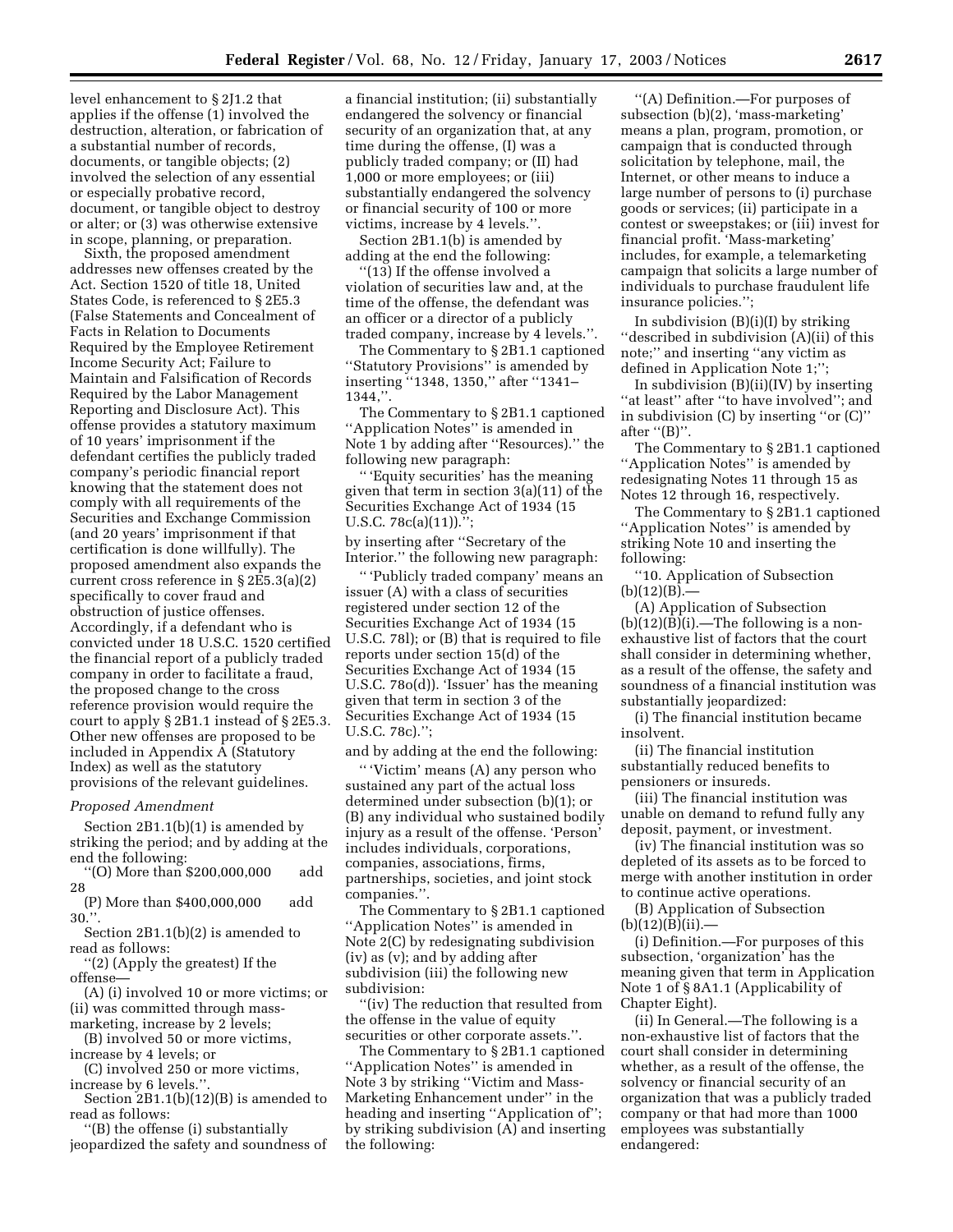level enhancement to § 2J1.2 that applies if the offense (1) involved the destruction, alteration, or fabrication of a substantial number of records, documents, or tangible objects; (2) involved the selection of any essential or especially probative record, document, or tangible object to destroy or alter; or (3) was otherwise extensive in scope, planning, or preparation.

Sixth, the proposed amendment addresses new offenses created by the Act. Section 1520 of title 18, United States Code, is referenced to § 2E5.3 (False Statements and Concealment of Facts in Relation to Documents Required by the Employee Retirement Income Security Act; Failure to Maintain and Falsification of Records Required by the Labor Management Reporting and Disclosure Act). This offense provides a statutory maximum of 10 years' imprisonment if the defendant certifies the publicly traded company's periodic financial report knowing that the statement does not comply with all requirements of the Securities and Exchange Commission (and 20 years' imprisonment if that certification is done willfully). The proposed amendment also expands the current cross reference in § 2E5.3(a)(2) specifically to cover fraud and obstruction of justice offenses. Accordingly, if a defendant who is convicted under 18 U.S.C. 1520 certified the financial report of a publicly traded company in order to facilitate a fraud, the proposed change to the cross reference provision would require the court to apply § 2B1.1 instead of § 2E5.3. Other new offenses are proposed to be included in Appendix A (Statutory Index) as well as the statutory provisions of the relevant guidelines.

# *Proposed Amendment*

Section 2B1.1(b)(1) is amended by striking the period; and by adding at the end the following:

''(O) More than \$200,000,000 add 28

(P) More than \$400,000,000 add 30.''.

Section 2B1.1(b)(2) is amended to read as follows:

''(2) (Apply the greatest) If the offense—

(A) (i) involved 10 or more victims; or (ii) was committed through mass-

marketing, increase by 2 levels;

(B) involved 50 or more victims,

increase by 4 levels; or

(C) involved 250 or more victims, increase by 6 levels.''.

Section 2B1.1(b)(12)(B) is amended to read as follows:

''(B) the offense (i) substantially jeopardized the safety and soundness of

a financial institution; (ii) substantially endangered the solvency or financial security of an organization that, at any time during the offense, (I) was a publicly traded company; or (II) had 1,000 or more employees; or (iii) substantially endangered the solvency or financial security of 100 or more victims, increase by 4 levels.''.

Section 2B1.1(b) is amended by adding at the end the following:

'(13) If the offense involved a violation of securities law and, at the time of the offense, the defendant was an officer or a director of a publicly traded company, increase by 4 levels.''.

The Commentary to § 2B1.1 captioned ''Statutory Provisions'' is amended by inserting ''1348, 1350,'' after ''1341– 1344,''.

The Commentary to § 2B1.1 captioned ''Application Notes'' is amended in Note 1 by adding after ''Resources).'' the following new paragraph:

'' 'Equity securities' has the meaning given that term in section 3(a)(11) of the Securities Exchange Act of 1934 (15 U.S.C. 78c(a)(11)).'';

by inserting after ''Secretary of the Interior.'' the following new paragraph:

'' 'Publicly traded company' means an issuer (A) with a class of securities registered under section 12 of the Securities Exchange Act of 1934 (15 U.S.C. 78l); or (B) that is required to file reports under section 15(d) of the Securities Exchange Act of 1934 (15 U.S.C. 78o(d)). 'Issuer' has the meaning given that term in section 3 of the Securities Exchange Act of 1934 (15 U.S.C. 78c).'';

and by adding at the end the following:

'' 'Victim' means (A) any person who sustained any part of the actual loss determined under subsection (b)(1); or (B) any individual who sustained bodily injury as a result of the offense. 'Person' includes individuals, corporations, companies, associations, firms, partnerships, societies, and joint stock companies.''.

The Commentary to § 2B1.1 captioned ''Application Notes'' is amended in Note 2(C) by redesignating subdivision (iv) as (v); and by adding after subdivision (iii) the following new subdivision:

''(iv) The reduction that resulted from the offense in the value of equity securities or other corporate assets.''.

The Commentary to § 2B1.1 captioned ''Application Notes'' is amended in Note 3 by striking ''Victim and Mass-Marketing Enhancement under'' in the heading and inserting ''Application of''; by striking subdivision (A) and inserting the following:

''(A) Definition.—For purposes of subsection (b)(2), 'mass-marketing' means a plan, program, promotion, or campaign that is conducted through solicitation by telephone, mail, the Internet, or other means to induce a large number of persons to (i) purchase goods or services; (ii) participate in a contest or sweepstakes; or (iii) invest for financial profit. 'Mass-marketing' includes, for example, a telemarketing campaign that solicits a large number of individuals to purchase fraudulent life insurance policies.'';

In subdivision (B)(i)(I) by striking ''described in subdivision (A)(ii) of this note;'' and inserting ''any victim as defined in Application Note 1;'';

In subdivision  $(B)(ii)(IV)$  by inserting ''at least'' after ''to have involved''; and in subdivision (C) by inserting ''or (C)'' after  $''(B)$ ".

The Commentary to § 2B1.1 captioned ''Application Notes'' is amended by redesignating Notes 11 through 15 as Notes 12 through 16, respectively.

The Commentary to § 2B1.1 captioned ''Application Notes'' is amended by striking Note 10 and inserting the following:

''10. Application of Subsection  $(b)(12)(B)$ .

(A) Application of Subsection  $(b)(12)(B)(i)$ .—The following is a nonexhaustive list of factors that the court shall consider in determining whether, as a result of the offense, the safety and soundness of a financial institution was substantially jeopardized:

(i) The financial institution became insolvent.

(ii) The financial institution substantially reduced benefits to pensioners or insureds.

(iii) The financial institution was unable on demand to refund fully any deposit, payment, or investment.

(iv) The financial institution was so depleted of its assets as to be forced to merge with another institution in order to continue active operations.

(B) Application of Subsection  $(b)(12)(B)(ii)$ .

(i) Definition.—For purposes of this subsection, 'organization' has the meaning given that term in Application Note 1 of § 8A1.1 (Applicability of Chapter Eight).

(ii) In General.—The following is a non-exhaustive list of factors that the court shall consider in determining whether, as a result of the offense, the solvency or financial security of an organization that was a publicly traded company or that had more than 1000 employees was substantially endangered: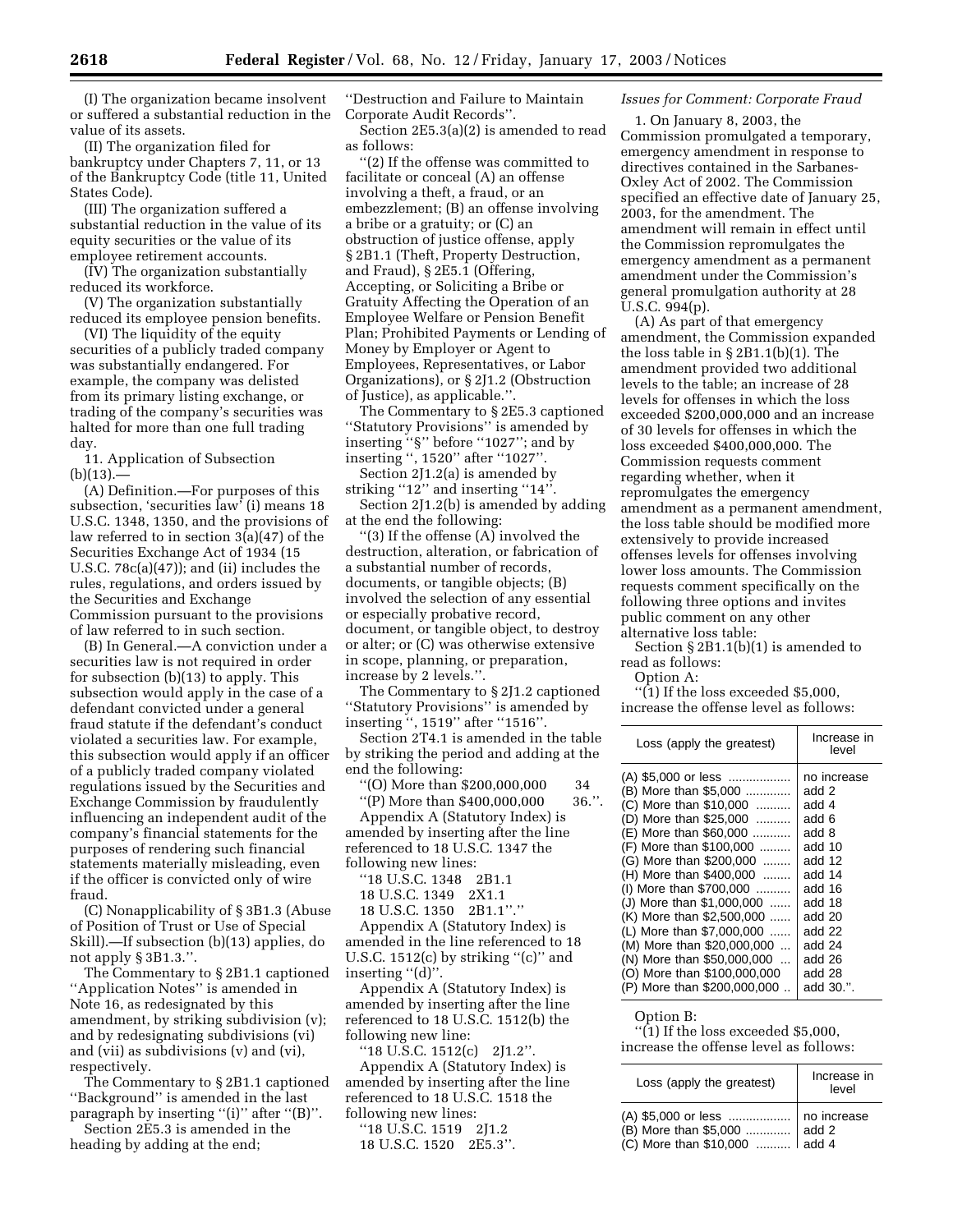(I) The organization became insolvent or suffered a substantial reduction in the value of its assets.

(II) The organization filed for bankruptcy under Chapters 7, 11, or 13 of the Bankruptcy Code (title 11, United States Code).

(III) The organization suffered a substantial reduction in the value of its equity securities or the value of its employee retirement accounts.

(IV) The organization substantially reduced its workforce.

(V) The organization substantially reduced its employee pension benefits.

(VI) The liquidity of the equity securities of a publicly traded company was substantially endangered. For example, the company was delisted from its primary listing exchange, or trading of the company's securities was halted for more than one full trading day.

11. Application of Subsection  $(b)(13)$ .

(A) Definition.—For purposes of this subsection, 'securities law' (i) means 18 U.S.C. 1348, 1350, and the provisions of law referred to in section 3(a)(47) of the Securities Exchange Act of 1934 (15 U.S.C. 78c(a)(47)); and (ii) includes the rules, regulations, and orders issued by the Securities and Exchange Commission pursuant to the provisions of law referred to in such section.

(B) In General.—A conviction under a securities law is not required in order for subsection (b)(13) to apply. This subsection would apply in the case of a defendant convicted under a general fraud statute if the defendant's conduct violated a securities law. For example, this subsection would apply if an officer of a publicly traded company violated regulations issued by the Securities and Exchange Commission by fraudulently influencing an independent audit of the company's financial statements for the purposes of rendering such financial statements materially misleading, even if the officer is convicted only of wire fraud.

(C) Nonapplicability of § 3B1.3 (Abuse of Position of Trust or Use of Special Skill).—If subsection (b)(13) applies, do not apply § 3B1.3.''.

The Commentary to § 2B1.1 captioned ''Application Notes'' is amended in Note 16, as redesignated by this amendment, by striking subdivision (v); and by redesignating subdivisions (vi) and (vii) as subdivisions (v) and (vi), respectively.

The Commentary to § 2B1.1 captioned ''Background'' is amended in the last paragraph by inserting "(i)" after "(B)".

Section 2E5.3 is amended in the heading by adding at the end;

''Destruction and Failure to Maintain Corporate Audit Records''.

Section 2E5.3(a)(2) is amended to read as follows:

''(2) If the offense was committed to facilitate or conceal (A) an offense involving a theft, a fraud, or an embezzlement; (B) an offense involving a bribe or a gratuity; or (C) an obstruction of justice offense, apply § 2B1.1 (Theft, Property Destruction, and Fraud), § 2E5.1 (Offering, Accepting, or Soliciting a Bribe or Gratuity Affecting the Operation of an Employee Welfare or Pension Benefit Plan; Prohibited Payments or Lending of Money by Employer or Agent to Employees, Representatives, or Labor Organizations), or § 2J1.2 (Obstruction of Justice), as applicable.''.

The Commentary to § 2E5.3 captioned ''Statutory Provisions'' is amended by inserting ''§'' before ''1027''; and by inserting '', 1520'' after ''1027''.

Section 2J1.2(a) is amended by striking "12" and inserting "14".

Section 2J1.2(b) is amended by adding at the end the following:

''(3) If the offense (A) involved the destruction, alteration, or fabrication of a substantial number of records, documents, or tangible objects; (B) involved the selection of any essential or especially probative record, document, or tangible object, to destroy or alter; or (C) was otherwise extensive in scope, planning, or preparation, increase by 2 levels.''.

The Commentary to § 2J1.2 captioned ''Statutory Provisions'' is amended by inserting '', 1519'' after ''1516''.

Section 2T4.1 is amended in the table by striking the period and adding at the end the following:

''(O) More than \$200,000,000 34 ''(P) More than \$400,000,000 36.''. Appendix A (Statutory Index) is amended by inserting after the line referenced to 18 U.S.C. 1347 the following new lines:

''18 U.S.C. 1348 2B1.1

18 U.S.C. 1349 2X1.1

18 U.S.C. 1350 2B1.1''.''

Appendix A (Statutory Index) is amended in the line referenced to 18 U.S.C. 1512(c) by striking "(c)" and inserting "(d)".

Appendix A (Statutory Index) is amended by inserting after the line referenced to 18 U.S.C. 1512(b) the following new line:

''18 U.S.C. 1512(c) 2J1.2''.

Appendix A (Statutory Index) is amended by inserting after the line referenced to 18 U.S.C. 1518 the following new lines:

''18 U.S.C. 1519 2J1.2 18 U.S.C. 1520 2E5.3''.

# *Issues for Comment: Corporate Fraud*

1. On January 8, 2003, the Commission promulgated a temporary, emergency amendment in response to directives contained in the Sarbanes-Oxley Act of 2002. The Commission specified an effective date of January 25, 2003, for the amendment. The amendment will remain in effect until the Commission repromulgates the emergency amendment as a permanent amendment under the Commission's general promulgation authority at 28 U.S.C. 994(p).

(A) As part of that emergency amendment, the Commission expanded the loss table in § 2B1.1(b)(1). The amendment provided two additional levels to the table; an increase of 28 levels for offenses in which the loss exceeded \$200,000,000 and an increase of 30 levels for offenses in which the loss exceeded \$400,000,000. The Commission requests comment regarding whether, when it repromulgates the emergency amendment as a permanent amendment, the loss table should be modified more extensively to provide increased offenses levels for offenses involving lower loss amounts. The Commission requests comment specifically on the following three options and invites public comment on any other alternative loss table:

Section § 2B1.1(b)(1) is amended to read as follows:

Option A:

''(1) If the loss exceeded \$5,000, increase the offense level as follows:

| Loss (apply the greatest)   | Increase in<br>level |
|-----------------------------|----------------------|
| (A) \$5,000 or less         | no increase          |
| (B) More than \$5,000       | add 2                |
| (C) More than \$10,000      | add 4                |
| (D) More than \$25,000      | add 6                |
| (E) More than \$60,000      | add 8                |
| (F) More than \$100,000     | add 10               |
| (G) More than \$200,000     | add 12               |
| (H) More than \$400,000     | add 14               |
| (I) More than \$700,000     | add 16               |
| (J) More than \$1,000,000   | add 18               |
| (K) More than \$2,500,000   | add 20               |
| (L) More than \$7,000,000   | add 22               |
| (M) More than \$20,000,000  | add 24               |
| (N) More than \$50,000,000  | add 26               |
| (O) More than \$100,000,000 | add 28               |
| (P) More than \$200,000,000 | add 30.".            |

Option B:

''(1) If the loss exceeded \$5,000, increase the offense level as follows:

| Loss (apply the greatest)                                                                           | Increase in<br>level |
|-----------------------------------------------------------------------------------------------------|----------------------|
| (A) \$5,000 or less    no increase<br>(B) More than \$5,000  add 2<br>(C) More than \$10,000  add 4 | add 2                |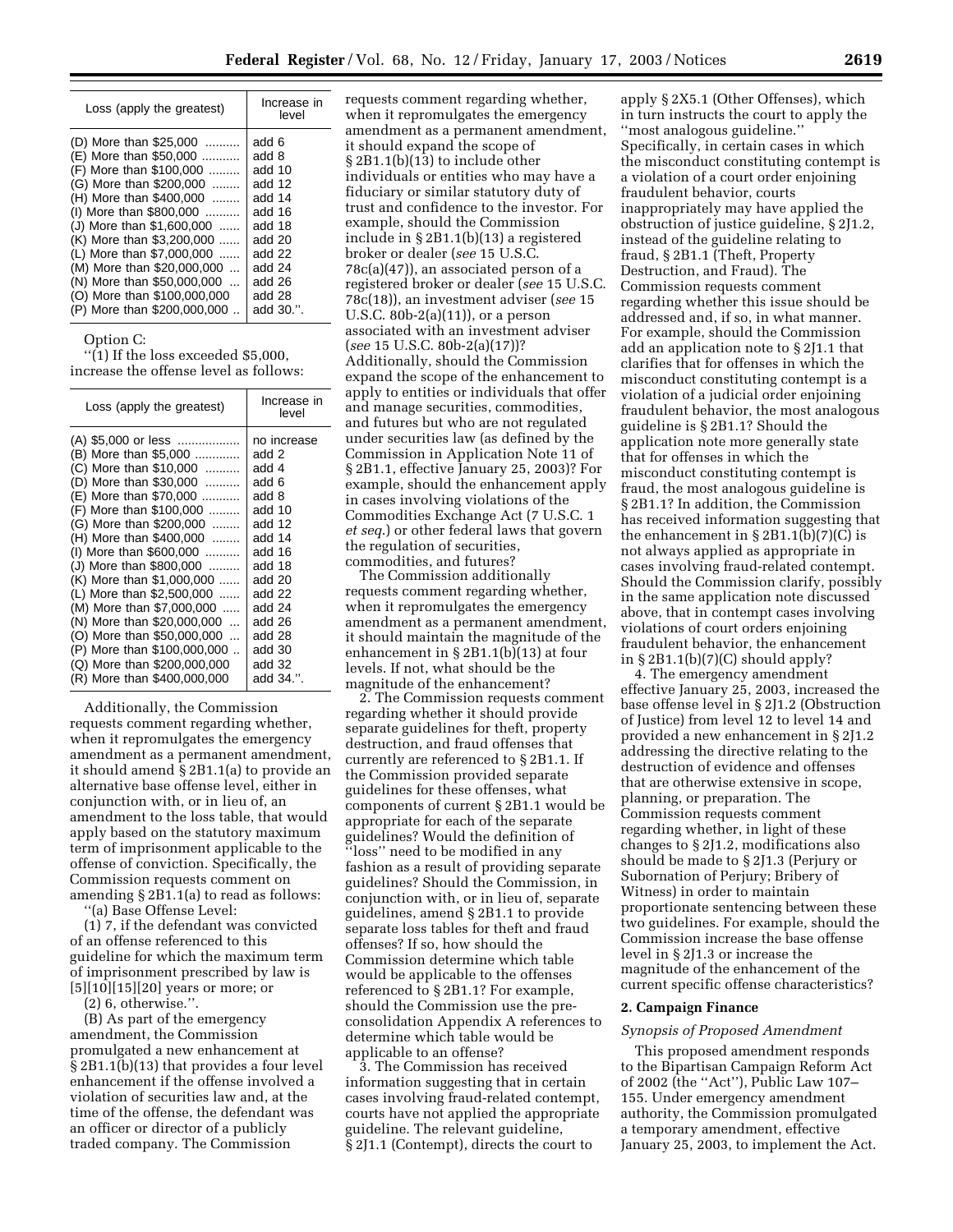| Loss (apply the greatest)                                                                                                                                                                                                                                                                                                                                                     | Increase in<br>level                                                                                                            |
|-------------------------------------------------------------------------------------------------------------------------------------------------------------------------------------------------------------------------------------------------------------------------------------------------------------------------------------------------------------------------------|---------------------------------------------------------------------------------------------------------------------------------|
| (D) More than \$25,000<br>(E) More than \$50,000<br>(F) More than \$100,000<br>(G) More than \$200,000<br>(H) More than \$400,000<br>(I) More than \$800,000<br>(J) More than \$1,600,000<br>(K) More than \$3,200,000<br>(L) More than \$7,000,000<br>(M) More than \$20,000,000<br>(N) More than \$50,000,000<br>(O) More than \$100,000,000<br>(P) More than \$200,000,000 | add 6<br>add 8<br>add 10<br>add 12<br>add 14<br>add 16<br>add 18<br>add 20<br>add 22<br>add 24<br>add 26<br>add 28<br>add 30.". |

# Option C:

''(1) If the loss exceeded \$5,000, increase the offense level as follows:

| Loss (apply the greatest)                                                                                                                                                                                                                                                                                                                                                                                                                                                                                         | Increase in<br>level                                                                                                                                                                 |
|-------------------------------------------------------------------------------------------------------------------------------------------------------------------------------------------------------------------------------------------------------------------------------------------------------------------------------------------------------------------------------------------------------------------------------------------------------------------------------------------------------------------|--------------------------------------------------------------------------------------------------------------------------------------------------------------------------------------|
| (A) \$5,000 or less<br>(B) More than \$5,000<br>(C) More than \$10,000<br>(D) More than \$30,000<br>(E) More than \$70,000<br>(F) More than \$100,000<br>(G) More than \$200,000<br>(H) More than \$400,000<br>(I) More than \$600,000<br>(J) More than \$800,000<br>(K) More than \$1,000,000<br>(L) More than \$2,500,000<br>(M) More than \$7,000,000<br>(N) More than \$20,000,000<br>(O) More than \$50,000,000<br>(P) More than \$100,000,000<br>(Q) More than \$200,000,000<br>(R) More than \$400,000,000 | no increase<br>add 2<br>add 4<br>add 6<br>add 8<br>add 10<br>add 12<br>add 14<br>add 16<br>add 18<br>add 20<br>add 22<br>add 24<br>add 26<br>add 28<br>add 30<br>add 32<br>add 34.". |
|                                                                                                                                                                                                                                                                                                                                                                                                                                                                                                                   |                                                                                                                                                                                      |

Additionally, the Commission requests comment regarding whether, when it repromulgates the emergency amendment as a permanent amendment, it should amend § 2B1.1(a) to provide an alternative base offense level, either in conjunction with, or in lieu of, an amendment to the loss table, that would apply based on the statutory maximum term of imprisonment applicable to the offense of conviction. Specifically, the Commission requests comment on amending § 2B1.1(a) to read as follows:

''(a) Base Offense Level:

(1) 7, if the defendant was convicted of an offense referenced to this guideline for which the maximum term of imprisonment prescribed by law is [5][10][15][20] years or more; or

(2) 6, otherwise.''.

(B) As part of the emergency amendment, the Commission promulgated a new enhancement at § 2B1.1(b)(13) that provides a four level enhancement if the offense involved a violation of securities law and, at the time of the offense, the defendant was an officer or director of a publicly traded company. The Commission

requests comment regarding whether, when it repromulgates the emergency amendment as a permanent amendment, it should expand the scope of § 2B1.1(b)(13) to include other individuals or entities who may have a fiduciary or similar statutory duty of trust and confidence to the investor. For example, should the Commission include in § 2B1.1(b)(13) a registered broker or dealer (*see* 15 U.S.C. 78c(a)(47)), an associated person of a registered broker or dealer (*see* 15 U.S.C. 78c(18)), an investment adviser (*see* 15 U.S.C. 80b-2(a)(11)), or a person associated with an investment adviser (*see* 15 U.S.C. 80b-2(a)(17))? Additionally, should the Commission expand the scope of the enhancement to apply to entities or individuals that offer and manage securities, commodities, and futures but who are not regulated under securities law (as defined by the Commission in Application Note 11 of § 2B1.1, effective January 25, 2003)? For example, should the enhancement apply in cases involving violations of the Commodities Exchange Act (7 U.S.C. 1 *et seq*.) or other federal laws that govern the regulation of securities, commodities, and futures?

The Commission additionally requests comment regarding whether, when it repromulgates the emergency amendment as a permanent amendment, it should maintain the magnitude of the enhancement in § 2B1.1(b)(13) at four levels. If not, what should be the magnitude of the enhancement?

2. The Commission requests comment regarding whether it should provide separate guidelines for theft, property destruction, and fraud offenses that currently are referenced to § 2B1.1. If the Commission provided separate guidelines for these offenses, what components of current § 2B1.1 would be appropriate for each of the separate guidelines? Would the definition of ''loss'' need to be modified in any fashion as a result of providing separate guidelines? Should the Commission, in conjunction with, or in lieu of, separate guidelines, amend § 2B1.1 to provide separate loss tables for theft and fraud offenses? If so, how should the Commission determine which table would be applicable to the offenses referenced to § 2B1.1? For example, should the Commission use the preconsolidation Appendix A references to determine which table would be applicable to an offense?

3. The Commission has received information suggesting that in certain cases involving fraud-related contempt, courts have not applied the appropriate guideline. The relevant guideline, § 2J1.1 (Contempt), directs the court to

apply § 2X5.1 (Other Offenses), which in turn instructs the court to apply the ''most analogous guideline.'' Specifically, in certain cases in which the misconduct constituting contempt is a violation of a court order enjoining fraudulent behavior, courts inappropriately may have applied the obstruction of justice guideline, § 2J1.2, instead of the guideline relating to fraud, § 2B1.1 (Theft, Property Destruction, and Fraud). The Commission requests comment regarding whether this issue should be addressed and, if so, in what manner. For example, should the Commission add an application note to § 2J1.1 that clarifies that for offenses in which the misconduct constituting contempt is a violation of a judicial order enjoining fraudulent behavior, the most analogous guideline is § 2B1.1? Should the application note more generally state that for offenses in which the misconduct constituting contempt is fraud, the most analogous guideline is § 2B1.1? In addition, the Commission has received information suggesting that the enhancement in  $\S 2B1.1(b)(7)(C)$  is not always applied as appropriate in cases involving fraud-related contempt. Should the Commission clarify, possibly in the same application note discussed above, that in contempt cases involving violations of court orders enjoining fraudulent behavior, the enhancement in  $\S 2B1.1(b)(7)(C)$  should apply?

4. The emergency amendment effective January 25, 2003, increased the base offense level in § 2J1.2 (Obstruction of Justice) from level 12 to level 14 and provided a new enhancement in § 2J1.2 addressing the directive relating to the destruction of evidence and offenses that are otherwise extensive in scope, planning, or preparation. The Commission requests comment regarding whether, in light of these changes to § 2J1.2, modifications also should be made to § 2J1.3 (Perjury or Subornation of Perjury; Bribery of Witness) in order to maintain proportionate sentencing between these two guidelines. For example, should the Commission increase the base offense level in § 2J1.3 or increase the magnitude of the enhancement of the current specific offense characteristics?

#### **2. Campaign Finance**

### *Synopsis of Proposed Amendment*

This proposed amendment responds to the Bipartisan Campaign Reform Act of 2002 (the ''Act''), Public Law 107– 155. Under emergency amendment authority, the Commission promulgated a temporary amendment, effective January 25, 2003, to implement the Act.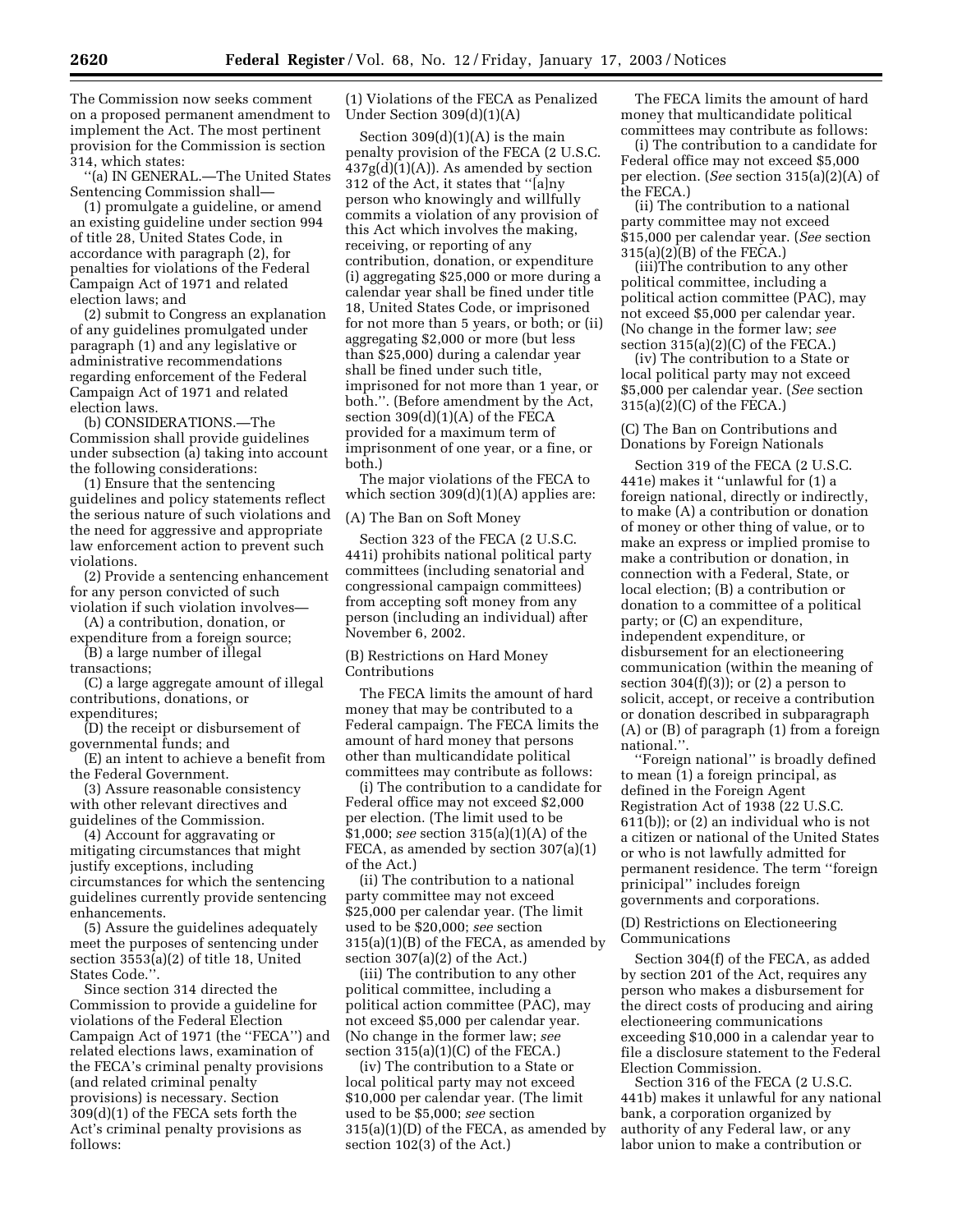The Commission now seeks comment on a proposed permanent amendment to implement the Act. The most pertinent provision for the Commission is section 314, which states:

''(a) IN GENERAL.—The United States Sentencing Commission shall—

(1) promulgate a guideline, or amend an existing guideline under section 994 of title 28, United States Code, in accordance with paragraph (2), for penalties for violations of the Federal Campaign Act of 1971 and related election laws; and

(2) submit to Congress an explanation of any guidelines promulgated under paragraph (1) and any legislative or administrative recommendations regarding enforcement of the Federal Campaign Act of 1971 and related election laws.

(b) CONSIDERATIONS.—The Commission shall provide guidelines under subsection (a) taking into account the following considerations:

(1) Ensure that the sentencing guidelines and policy statements reflect the serious nature of such violations and the need for aggressive and appropriate law enforcement action to prevent such violations.

(2) Provide a sentencing enhancement for any person convicted of such violation if such violation involves—

(A) a contribution, donation, or expenditure from a foreign source;

(B) a large number of illegal transactions;

(C) a large aggregate amount of illegal contributions, donations, or expenditures;

(D) the receipt or disbursement of governmental funds; and

(E) an intent to achieve a benefit from the Federal Government.

(3) Assure reasonable consistency with other relevant directives and guidelines of the Commission.

(4) Account for aggravating or mitigating circumstances that might justify exceptions, including circumstances for which the sentencing guidelines currently provide sentencing enhancements.

(5) Assure the guidelines adequately meet the purposes of sentencing under section 3553(a)(2) of title 18, United States Code.''.

Since section 314 directed the Commission to provide a guideline for violations of the Federal Election Campaign Act of 1971 (the ''FECA'') and related elections laws, examination of the FECA's criminal penalty provisions (and related criminal penalty provisions) is necessary. Section 309(d)(1) of the FECA sets forth the Act's criminal penalty provisions as follows:

(1) Violations of the FECA as Penalized Under Section 309(d)(1)(A)

Section  $309(d)(1)(A)$  is the main penalty provision of the FECA (2 U.S.C.  $437g(d)(1)(A)$ . As amended by section 312 of the Act, it states that ''[a]ny person who knowingly and willfully commits a violation of any provision of this Act which involves the making, receiving, or reporting of any contribution, donation, or expenditure (i) aggregating \$25,000 or more during a calendar year shall be fined under title 18, United States Code, or imprisoned for not more than 5 years, or both; or (ii) aggregating \$2,000 or more (but less than \$25,000) during a calendar year shall be fined under such title, imprisoned for not more than 1 year, or both.''. (Before amendment by the Act, section 309(d)(1)(A) of the FECA provided for a maximum term of imprisonment of one year, or a fine, or both.)

The major violations of the FECA to which section  $309(d)(1)(A)$  applies are:

(A) The Ban on Soft Money

Section 323 of the FECA (2 U.S.C. 441i) prohibits national political party committees (including senatorial and congressional campaign committees) from accepting soft money from any person (including an individual) after November 6, 2002.

(B) Restrictions on Hard Money Contributions

The FECA limits the amount of hard money that may be contributed to a Federal campaign. The FECA limits the amount of hard money that persons other than multicandidate political committees may contribute as follows:

(i) The contribution to a candidate for Federal office may not exceed \$2,000 per election. (The limit used to be \$1,000; *see* section 315(a)(1)(A) of the FECA, as amended by section 307(a)(1) of the Act.)

(ii) The contribution to a national party committee may not exceed \$25,000 per calendar year. (The limit used to be \$20,000; *see* section 315(a)(1)(B) of the FECA, as amended by section 307(a)(2) of the Act.)

(iii) The contribution to any other political committee, including a political action committee (PAC), may not exceed \$5,000 per calendar year. (No change in the former law; *see* section 315(a)(1)(C) of the FECA.)

(iv) The contribution to a State or local political party may not exceed \$10,000 per calendar year. (The limit used to be \$5,000; *see* section 315(a)(1)(D) of the FECA, as amended by section 102(3) of the Act.)

The FECA limits the amount of hard money that multicandidate political committees may contribute as follows:

(i) The contribution to a candidate for Federal office may not exceed \$5,000 per election. (*See* section 315(a)(2)(A) of the FECA.)

(ii) The contribution to a national party committee may not exceed \$15,000 per calendar year. (*See* section 315(a)(2)(B) of the FECA.)

(iii)The contribution to any other political committee, including a political action committee (PAC), may not exceed \$5,000 per calendar year. (No change in the former law; *see* section 315(a)(2)(C) of the FECA.)

(iv) The contribution to a State or local political party may not exceed \$5,000 per calendar year. (*See* section 315(a)(2)(C) of the FECA.)

(C) The Ban on Contributions and Donations by Foreign Nationals

Section 319 of the FECA (2 U.S.C. 441e) makes it ''unlawful for (1) a foreign national, directly or indirectly, to make (A) a contribution or donation of money or other thing of value, or to make an express or implied promise to make a contribution or donation, in connection with a Federal, State, or local election; (B) a contribution or donation to a committee of a political party; or (C) an expenditure, independent expenditure, or disbursement for an electioneering communication (within the meaning of section  $304(f)(3)$ ; or  $(2)$  a person to solicit, accept, or receive a contribution or donation described in subparagraph (A) or (B) of paragraph (1) from a foreign national.''.

''Foreign national'' is broadly defined to mean (1) a foreign principal, as defined in the Foreign Agent Registration Act of 1938 (22 U.S.C. 611(b)); or (2) an individual who is not a citizen or national of the United States or who is not lawfully admitted for permanent residence. The term ''foreign prinicipal'' includes foreign governments and corporations.

(D) Restrictions on Electioneering Communications

Section 304(f) of the FECA, as added by section 201 of the Act, requires any person who makes a disbursement for the direct costs of producing and airing electioneering communications exceeding \$10,000 in a calendar year to file a disclosure statement to the Federal Election Commission.

Section 316 of the FECA (2 U.S.C. 441b) makes it unlawful for any national bank, a corporation organized by authority of any Federal law, or any labor union to make a contribution or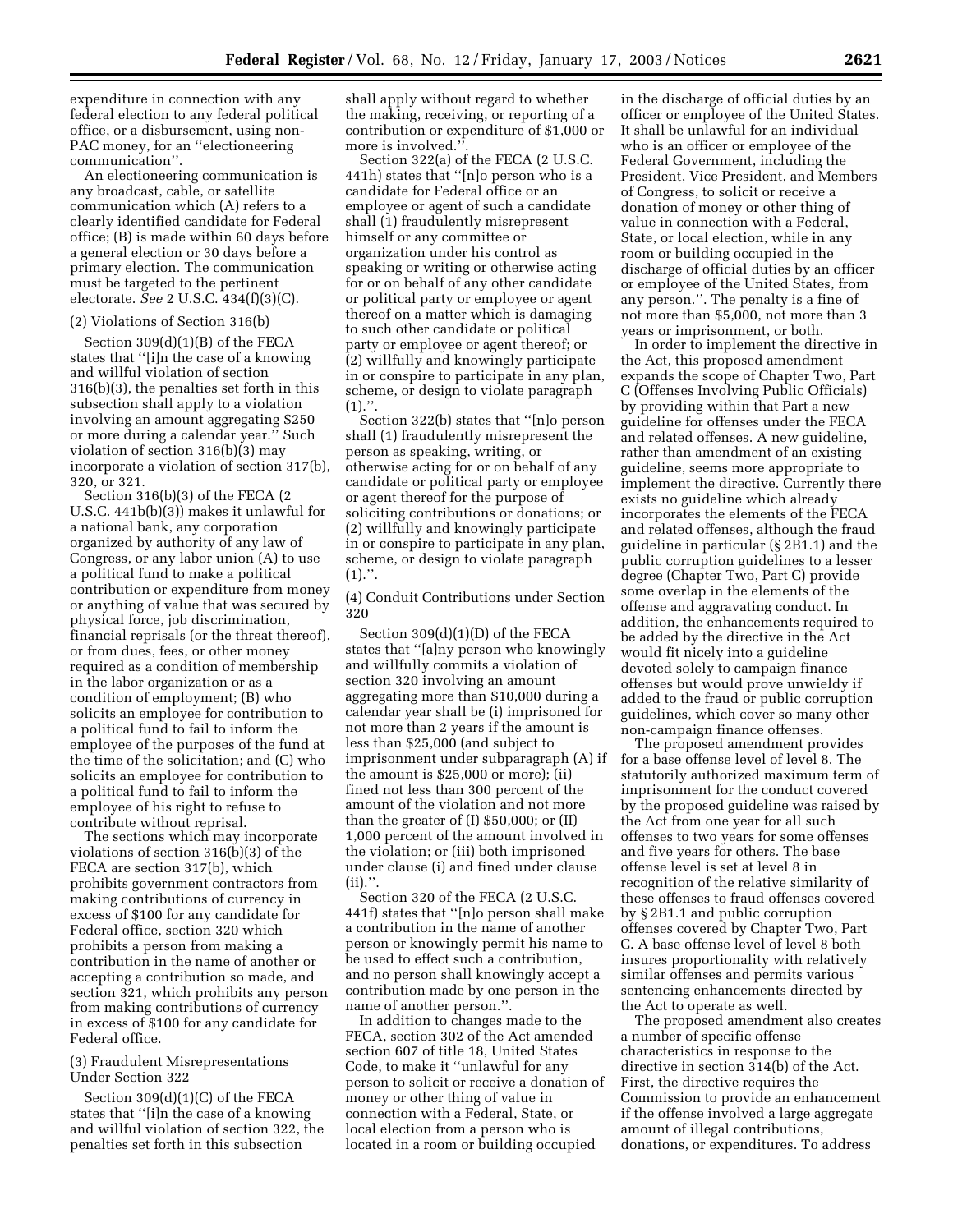expenditure in connection with any federal election to any federal political office, or a disbursement, using non-PAC money, for an ''electioneering communication''.

An electioneering communication is any broadcast, cable, or satellite communication which (A) refers to a clearly identified candidate for Federal office; (B) is made within 60 days before a general election or 30 days before a primary election. The communication must be targeted to the pertinent electorate. *See* 2 U.S.C. 434(f)(3)(C).

### (2) Violations of Section 316(b)

Section 309(d)(1)(B) of the FECA states that ''[i]n the case of a knowing and willful violation of section 316(b)(3), the penalties set forth in this subsection shall apply to a violation involving an amount aggregating \$250 or more during a calendar year.'' Such violation of section 316(b)(3) may incorporate a violation of section 317(b), 320, or 321.

Section 316(b)(3) of the FECA (2 U.S.C. 441b(b)(3)) makes it unlawful for a national bank, any corporation organized by authority of any law of Congress, or any labor union (A) to use a political fund to make a political contribution or expenditure from money or anything of value that was secured by physical force, job discrimination, financial reprisals (or the threat thereof), or from dues, fees, or other money required as a condition of membership in the labor organization or as a condition of employment; (B) who solicits an employee for contribution to a political fund to fail to inform the employee of the purposes of the fund at the time of the solicitation; and (C) who solicits an employee for contribution to a political fund to fail to inform the employee of his right to refuse to contribute without reprisal.

The sections which may incorporate violations of section 316(b)(3) of the FECA are section 317(b), which prohibits government contractors from making contributions of currency in excess of \$100 for any candidate for Federal office, section 320 which prohibits a person from making a contribution in the name of another or accepting a contribution so made, and section 321, which prohibits any person from making contributions of currency in excess of \$100 for any candidate for Federal office.

# (3) Fraudulent Misrepresentations Under Section 322

Section 309(d)(1)(C) of the FECA states that ''[i]n the case of a knowing and willful violation of section 322, the penalties set forth in this subsection

shall apply without regard to whether the making, receiving, or reporting of a contribution or expenditure of \$1,000 or more is involved.'

Section 322(a) of the FECA (2 U.S.C. 441h) states that ''[n]o person who is a candidate for Federal office or an employee or agent of such a candidate shall (1) fraudulently misrepresent himself or any committee or organization under his control as speaking or writing or otherwise acting for or on behalf of any other candidate or political party or employee or agent thereof on a matter which is damaging to such other candidate or political party or employee or agent thereof; or (2) willfully and knowingly participate in or conspire to participate in any plan, scheme, or design to violate paragraph  $(1).$ ".

Section 322(b) states that ''[n]o person shall (1) fraudulently misrepresent the person as speaking, writing, or otherwise acting for or on behalf of any candidate or political party or employee or agent thereof for the purpose of soliciting contributions or donations; or (2) willfully and knowingly participate in or conspire to participate in any plan, scheme, or design to violate paragraph  $(1).$ ".

(4) Conduit Contributions under Section 320

Section 309(d)(1)(D) of the FECA states that ''[a]ny person who knowingly and willfully commits a violation of section 320 involving an amount aggregating more than \$10,000 during a calendar year shall be (i) imprisoned for not more than 2 years if the amount is less than \$25,000 (and subject to imprisonment under subparagraph (A) if the amount is \$25,000 or more); (ii) fined not less than 300 percent of the amount of the violation and not more than the greater of (I) \$50,000; or (II) 1,000 percent of the amount involved in the violation; or (iii) both imprisoned under clause (i) and fined under clause  $(ii).$ ".

Section 320 of the FECA (2 U.S.C. 441f) states that ''[n]o person shall make a contribution in the name of another person or knowingly permit his name to be used to effect such a contribution, and no person shall knowingly accept a contribution made by one person in the name of another person.''.

In addition to changes made to the FECA, section 302 of the Act amended section 607 of title 18, United States Code, to make it ''unlawful for any person to solicit or receive a donation of money or other thing of value in connection with a Federal, State, or local election from a person who is located in a room or building occupied

in the discharge of official duties by an officer or employee of the United States. It shall be unlawful for an individual who is an officer or employee of the Federal Government, including the President, Vice President, and Members of Congress, to solicit or receive a donation of money or other thing of value in connection with a Federal, State, or local election, while in any room or building occupied in the discharge of official duties by an officer or employee of the United States, from any person.''. The penalty is a fine of not more than \$5,000, not more than 3 years or imprisonment, or both.

In order to implement the directive in the Act, this proposed amendment expands the scope of Chapter Two, Part C (Offenses Involving Public Officials) by providing within that Part a new guideline for offenses under the FECA and related offenses. A new guideline, rather than amendment of an existing guideline, seems more appropriate to implement the directive. Currently there exists no guideline which already incorporates the elements of the FECA and related offenses, although the fraud guideline in particular (§ 2B1.1) and the public corruption guidelines to a lesser degree (Chapter Two, Part C) provide some overlap in the elements of the offense and aggravating conduct. In addition, the enhancements required to be added by the directive in the Act would fit nicely into a guideline devoted solely to campaign finance offenses but would prove unwieldy if added to the fraud or public corruption guidelines, which cover so many other non-campaign finance offenses.

The proposed amendment provides for a base offense level of level 8. The statutorily authorized maximum term of imprisonment for the conduct covered by the proposed guideline was raised by the Act from one year for all such offenses to two years for some offenses and five years for others. The base offense level is set at level 8 in recognition of the relative similarity of these offenses to fraud offenses covered by § 2B1.1 and public corruption offenses covered by Chapter Two, Part C. A base offense level of level 8 both insures proportionality with relatively similar offenses and permits various sentencing enhancements directed by the Act to operate as well.

The proposed amendment also creates a number of specific offense characteristics in response to the directive in section 314(b) of the Act. First, the directive requires the Commission to provide an enhancement if the offense involved a large aggregate amount of illegal contributions, donations, or expenditures. To address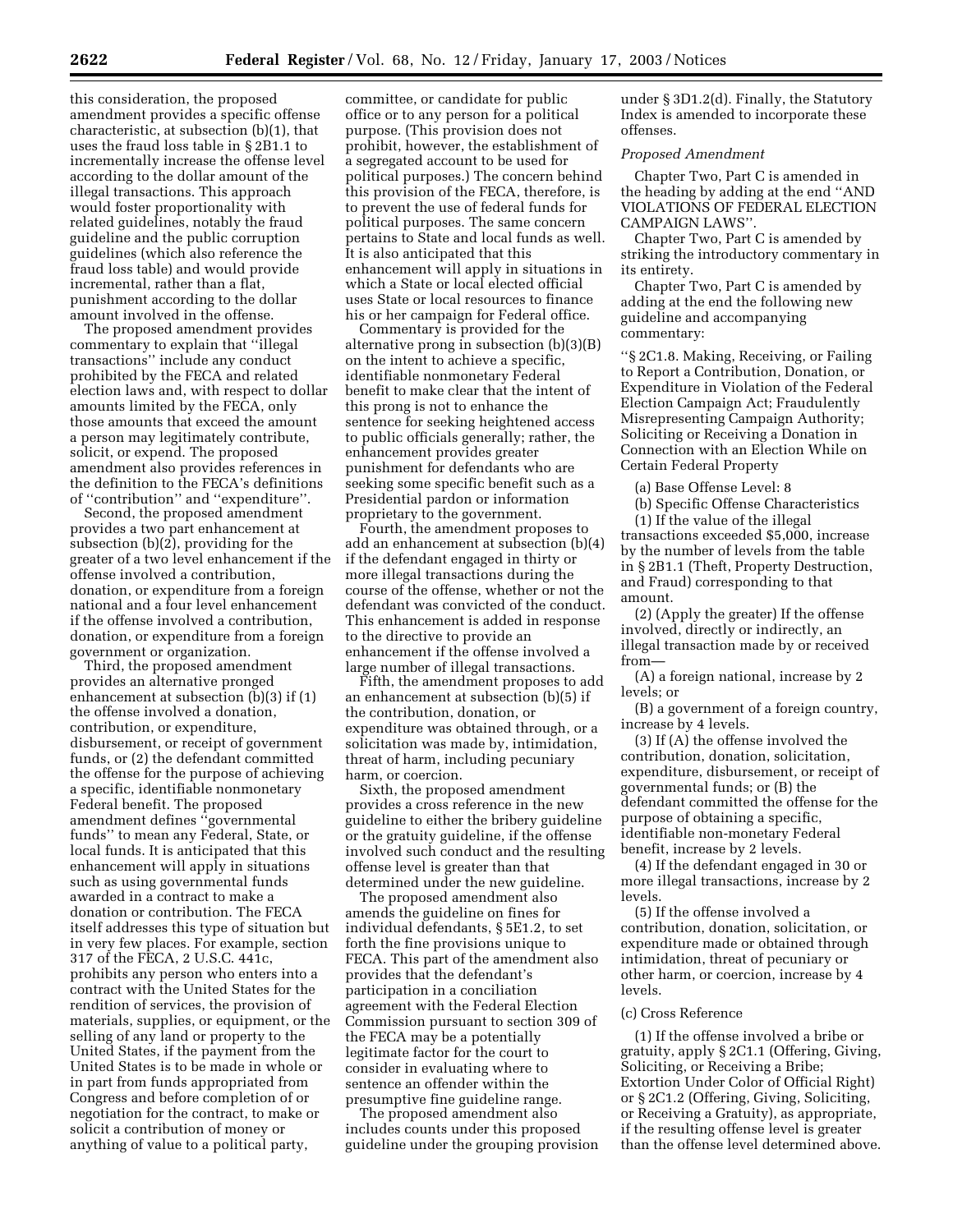this consideration, the proposed amendment provides a specific offense characteristic, at subsection (b)(1), that uses the fraud loss table in § 2B1.1 to incrementally increase the offense level according to the dollar amount of the illegal transactions. This approach would foster proportionality with related guidelines, notably the fraud guideline and the public corruption guidelines (which also reference the fraud loss table) and would provide incremental, rather than a flat, punishment according to the dollar amount involved in the offense.

The proposed amendment provides commentary to explain that ''illegal transactions'' include any conduct prohibited by the FECA and related election laws and, with respect to dollar amounts limited by the FECA, only those amounts that exceed the amount a person may legitimately contribute, solicit, or expend. The proposed amendment also provides references in the definition to the FECA's definitions of ''contribution'' and ''expenditure''.

Second, the proposed amendment provides a two part enhancement at subsection (b)(2), providing for the greater of a two level enhancement if the offense involved a contribution, donation, or expenditure from a foreign national and a four level enhancement if the offense involved a contribution, donation, or expenditure from a foreign government or organization.

Third, the proposed amendment provides an alternative pronged enhancement at subsection (b)(3) if (1) the offense involved a donation, contribution, or expenditure, disbursement, or receipt of government funds, or (2) the defendant committed the offense for the purpose of achieving a specific, identifiable nonmonetary Federal benefit. The proposed amendment defines ''governmental funds'' to mean any Federal, State, or local funds. It is anticipated that this enhancement will apply in situations such as using governmental funds awarded in a contract to make a donation or contribution. The FECA itself addresses this type of situation but in very few places. For example, section 317 of the FECA, 2 U.S.C. 441c, prohibits any person who enters into a contract with the United States for the rendition of services, the provision of materials, supplies, or equipment, or the selling of any land or property to the United States, if the payment from the United States is to be made in whole or in part from funds appropriated from Congress and before completion of or negotiation for the contract, to make or solicit a contribution of money or anything of value to a political party,

committee, or candidate for public office or to any person for a political purpose. (This provision does not prohibit, however, the establishment of a segregated account to be used for political purposes.) The concern behind this provision of the FECA, therefore, is to prevent the use of federal funds for political purposes. The same concern pertains to State and local funds as well. It is also anticipated that this enhancement will apply in situations in which a State or local elected official uses State or local resources to finance his or her campaign for Federal office.

Commentary is provided for the alternative prong in subsection (b)(3)(B) on the intent to achieve a specific, identifiable nonmonetary Federal benefit to make clear that the intent of this prong is not to enhance the sentence for seeking heightened access to public officials generally; rather, the enhancement provides greater punishment for defendants who are seeking some specific benefit such as a Presidential pardon or information proprietary to the government.

Fourth, the amendment proposes to add an enhancement at subsection (b)(4) if the defendant engaged in thirty or more illegal transactions during the course of the offense, whether or not the defendant was convicted of the conduct. This enhancement is added in response to the directive to provide an enhancement if the offense involved a large number of illegal transactions.

Fifth, the amendment proposes to add an enhancement at subsection (b)(5) if the contribution, donation, or expenditure was obtained through, or a solicitation was made by, intimidation, threat of harm, including pecuniary harm, or coercion.

Sixth, the proposed amendment provides a cross reference in the new guideline to either the bribery guideline or the gratuity guideline, if the offense involved such conduct and the resulting offense level is greater than that determined under the new guideline.

The proposed amendment also amends the guideline on fines for individual defendants, § 5E1.2, to set forth the fine provisions unique to FECA. This part of the amendment also provides that the defendant's participation in a conciliation agreement with the Federal Election Commission pursuant to section 309 of the FECA may be a potentially legitimate factor for the court to consider in evaluating where to sentence an offender within the presumptive fine guideline range.

The proposed amendment also includes counts under this proposed guideline under the grouping provision under § 3D1.2(d). Finally, the Statutory Index is amended to incorporate these offenses.

### *Proposed Amendment*

Chapter Two, Part C is amended in the heading by adding at the end ''AND VIOLATIONS OF FEDERAL ELECTION CAMPAIGN LAWS''.

Chapter Two, Part C is amended by striking the introductory commentary in its entirety.

Chapter Two, Part C is amended by adding at the end the following new guideline and accompanying commentary:

''§ 2C1.8. Making, Receiving, or Failing to Report a Contribution, Donation, or Expenditure in Violation of the Federal Election Campaign Act; Fraudulently Misrepresenting Campaign Authority; Soliciting or Receiving a Donation in Connection with an Election While on Certain Federal Property

(a) Base Offense Level: 8

(b) Specific Offense Characteristics (1) If the value of the illegal

transactions exceeded \$5,000, increase by the number of levels from the table in § 2B1.1 (Theft, Property Destruction, and Fraud) corresponding to that amount.

(2) (Apply the greater) If the offense involved, directly or indirectly, an illegal transaction made by or received from—

(A) a foreign national, increase by 2 levels; or

(B) a government of a foreign country, increase by 4 levels.

(3) If (A) the offense involved the contribution, donation, solicitation, expenditure, disbursement, or receipt of governmental funds; or (B) the defendant committed the offense for the purpose of obtaining a specific, identifiable non-monetary Federal benefit, increase by 2 levels.

(4) If the defendant engaged in 30 or more illegal transactions, increase by 2 levels.

(5) If the offense involved a contribution, donation, solicitation, or expenditure made or obtained through intimidation, threat of pecuniary or other harm, or coercion, increase by 4 levels.

### (c) Cross Reference

(1) If the offense involved a bribe or gratuity, apply § 2C1.1 (Offering, Giving, Soliciting, or Receiving a Bribe; Extortion Under Color of Official Right) or § 2C1.2 (Offering, Giving, Soliciting, or Receiving a Gratuity), as appropriate, if the resulting offense level is greater than the offense level determined above.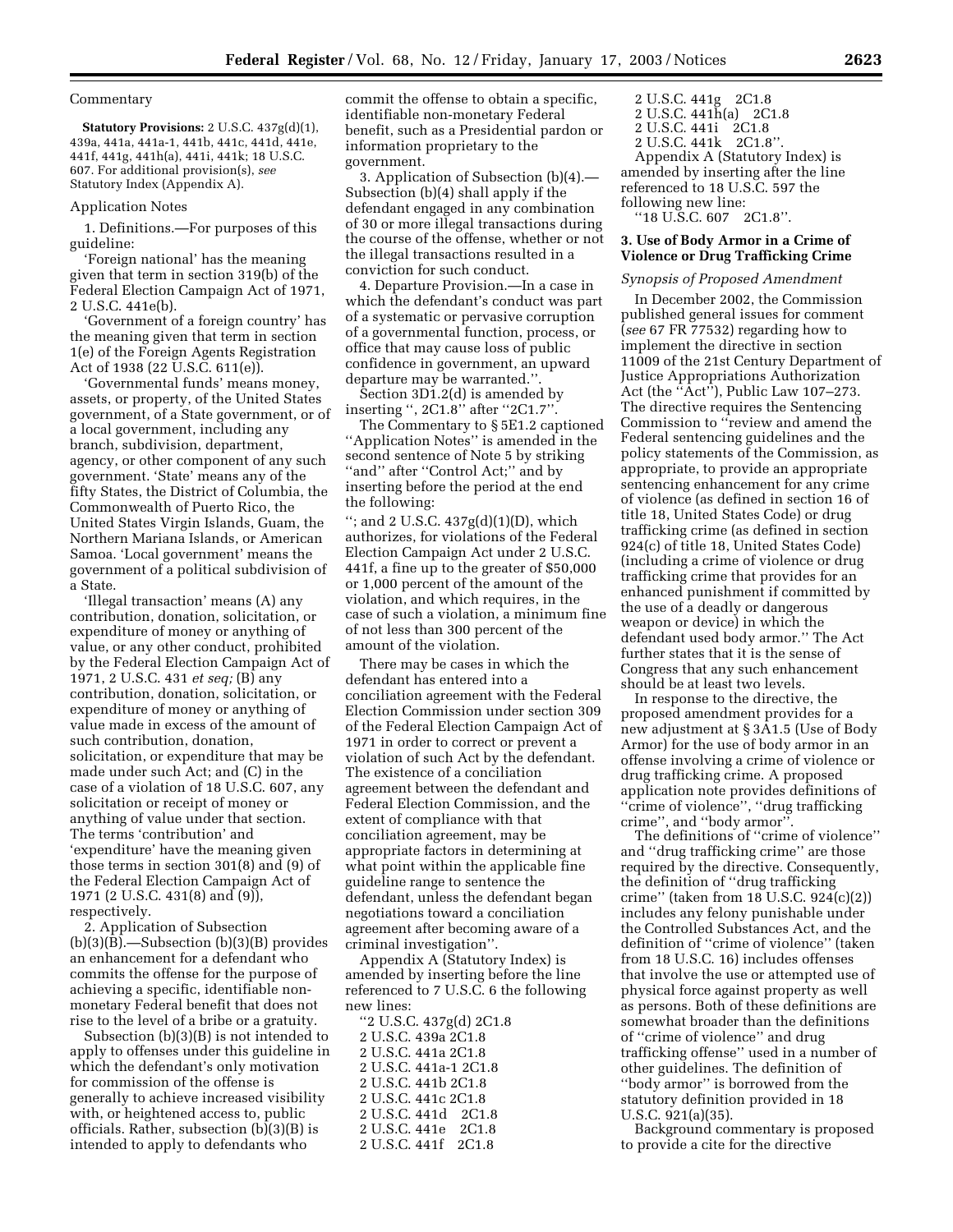### Commentary

**Statutory Provisions:** 2 U.S.C. 437g(d)(1), 439a, 441a, 441a-1, 441b, 441c, 441d, 441e, 441f, 441g, 441h(a), 441i, 441k; 18 U.S.C. 607. For additional provision(s), *see* Statutory Index (Appendix A).

#### Application Notes

1. Definitions.—For purposes of this guideline:

'Foreign national' has the meaning given that term in section 319(b) of the Federal Election Campaign Act of 1971, 2 U.S.C. 441e(b).

'Government of a foreign country' has the meaning given that term in section 1(e) of the Foreign Agents Registration Act of 1938 (22 U.S.C. 611(e)).

'Governmental funds' means money, assets, or property, of the United States government, of a State government, or of a local government, including any branch, subdivision, department, agency, or other component of any such government. 'State' means any of the fifty States, the District of Columbia, the Commonwealth of Puerto Rico, the United States Virgin Islands, Guam, the Northern Mariana Islands, or American Samoa. 'Local government' means the government of a political subdivision of a State.

'Illegal transaction' means (A) any contribution, donation, solicitation, or expenditure of money or anything of value, or any other conduct, prohibited by the Federal Election Campaign Act of 1971, 2 U.S.C. 431 *et seq;* (B) any contribution, donation, solicitation, or expenditure of money or anything of value made in excess of the amount of such contribution, donation, solicitation, or expenditure that may be made under such Act; and (C) in the case of a violation of 18 U.S.C. 607, any solicitation or receipt of money or anything of value under that section. The terms 'contribution' and 'expenditure' have the meaning given those terms in section 301(8) and (9) of the Federal Election Campaign Act of 1971 (2 U.S.C. 431(8) and (9)), respectively.

2. Application of Subsection  $(b)(3)(B)$ .—Subsection  $(b)(3)(B)$  provides an enhancement for a defendant who commits the offense for the purpose of achieving a specific, identifiable nonmonetary Federal benefit that does not rise to the level of a bribe or a gratuity.

Subsection (b)(3)(B) is not intended to apply to offenses under this guideline in which the defendant's only motivation for commission of the offense is generally to achieve increased visibility with, or heightened access to, public officials. Rather, subsection (b)(3)(B) is intended to apply to defendants who

commit the offense to obtain a specific, identifiable non-monetary Federal benefit, such as a Presidential pardon or information proprietary to the government.

3. Application of Subsection (b)(4).— Subsection (b)(4) shall apply if the defendant engaged in any combination of 30 or more illegal transactions during the course of the offense, whether or not the illegal transactions resulted in a conviction for such conduct.

4. Departure Provision.—In a case in which the defendant's conduct was part of a systematic or pervasive corruption of a governmental function, process, or office that may cause loss of public confidence in government, an upward departure may be warranted.''.

Section 3D1.2(d) is amended by inserting '', 2C1.8'' after ''2C1.7''.

The Commentary to § 5E1.2 captioned ''Application Notes'' is amended in the second sentence of Note 5 by striking "and" after "Control Act;" and by inserting before the period at the end the following:

"; and 2 U.S.C.  $437g(d)(1)(D)$ , which authorizes, for violations of the Federal Election Campaign Act under 2 U.S.C. 441f, a fine up to the greater of \$50,000 or 1,000 percent of the amount of the violation, and which requires, in the case of such a violation, a minimum fine of not less than 300 percent of the amount of the violation.

There may be cases in which the defendant has entered into a conciliation agreement with the Federal Election Commission under section 309 of the Federal Election Campaign Act of 1971 in order to correct or prevent a violation of such Act by the defendant. The existence of a conciliation agreement between the defendant and Federal Election Commission, and the extent of compliance with that conciliation agreement, may be appropriate factors in determining at what point within the applicable fine guideline range to sentence the defendant, unless the defendant began negotiations toward a conciliation agreement after becoming aware of a criminal investigation''.

Appendix A (Statutory Index) is amended by inserting before the line referenced to 7 U.S.C. 6 the following new lines:

| "2 U.S.C. 437g(d) 2C1.8 |
|-------------------------|
| 2 U.S.C. 439a 2C1.8     |
| 2 U.S.C. 441a 2C1.8     |
| 2 U.S.C. 441a-1 2C1.8   |
| 2 U.S.C. 441b 2C1.8     |
| 2 U.S.C. 441c 2C1.8     |
| 2 U.S.C. 441d 2C1.8     |
| 2 U.S.C. 441e 2C1.8     |
| 2 U.S.C. 441f 2C1.8     |

2 U.S.C. 441g 2C1.8 2 U.S.C. 441h(a) 2C1.8 2 U.S.C. 441i 2C1.8 2 U.S.C. 441k 2C1.8''. Appendix A (Statutory Index) is amended by inserting after the line referenced to 18 U.S.C. 597 the following new line: ''18 U.S.C. 607 2C1.8''.

### **3. Use of Body Armor in a Crime of Violence or Drug Trafficking Crime**

# *Synopsis of Proposed Amendment*

In December 2002, the Commission published general issues for comment (*see* 67 FR 77532) regarding how to implement the directive in section 11009 of the 21st Century Department of Justice Appropriations Authorization Act (the  $\left($  $\tilde{A}ct\right)$ ), Public Law 107–273. The directive requires the Sentencing Commission to ''review and amend the Federal sentencing guidelines and the policy statements of the Commission, as appropriate, to provide an appropriate sentencing enhancement for any crime of violence (as defined in section 16 of title 18, United States Code) or drug trafficking crime (as defined in section 924(c) of title 18, United States Code) (including a crime of violence or drug trafficking crime that provides for an enhanced punishment if committed by the use of a deadly or dangerous weapon or device) in which the defendant used body armor.'' The Act further states that it is the sense of Congress that any such enhancement should be at least two levels.

In response to the directive, the proposed amendment provides for a new adjustment at § 3A1.5 (Use of Body Armor) for the use of body armor in an offense involving a crime of violence or drug trafficking crime. A proposed application note provides definitions of ''crime of violence'', ''drug trafficking crime'', and ''body armor''.

The definitions of ''crime of violence'' and ''drug trafficking crime'' are those required by the directive. Consequently, the definition of ''drug trafficking crime'' (taken from 18 U.S.C. 924(c)(2)) includes any felony punishable under the Controlled Substances Act, and the definition of ''crime of violence'' (taken from 18 U.S.C. 16) includes offenses that involve the use or attempted use of physical force against property as well as persons. Both of these definitions are somewhat broader than the definitions of ''crime of violence'' and drug trafficking offense'' used in a number of other guidelines. The definition of ''body armor'' is borrowed from the statutory definition provided in 18 U.S.C. 921(a)(35).

Background commentary is proposed to provide a cite for the directive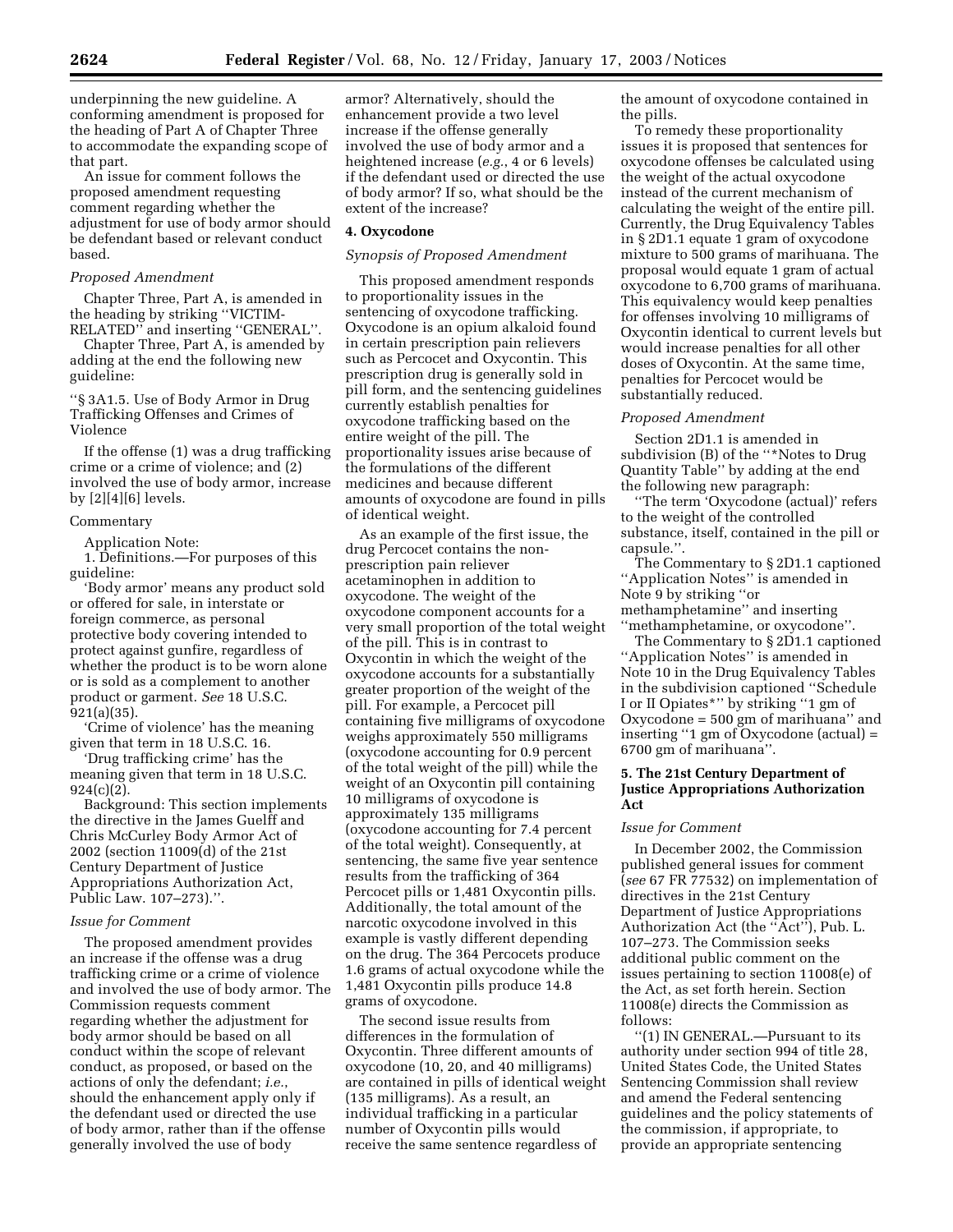underpinning the new guideline. A conforming amendment is proposed for the heading of Part A of Chapter Three to accommodate the expanding scope of that part.

An issue for comment follows the proposed amendment requesting comment regarding whether the adjustment for use of body armor should be defendant based or relevant conduct based.

#### *Proposed Amendment*

Chapter Three, Part A, is amended in the heading by striking ''VICTIM-RELATED'' and inserting ''GENERAL''.

Chapter Three, Part A, is amended by adding at the end the following new guideline:

''§ 3A1.5. Use of Body Armor in Drug Trafficking Offenses and Crimes of Violence

If the offense (1) was a drug trafficking crime or a crime of violence; and (2) involved the use of body armor, increase by [2][4][6] levels.

# **Commentary**

Application Note:

1. Definitions.—For purposes of this guideline:

'Body armor' means any product sold or offered for sale, in interstate or foreign commerce, as personal protective body covering intended to protect against gunfire, regardless of whether the product is to be worn alone or is sold as a complement to another product or garment. *See* 18 U.S.C. 921(a)(35).

'Crime of violence' has the meaning given that term in 18 U.S.C. 16.

'Drug trafficking crime' has the meaning given that term in 18 U.S.C. 924(c)(2).

Background: This section implements the directive in the James Guelff and Chris McCurley Body Armor Act of 2002 (section 11009(d) of the 21st Century Department of Justice Appropriations Authorization Act, Public Law. 107–273).''.

#### *Issue for Comment*

The proposed amendment provides an increase if the offense was a drug trafficking crime or a crime of violence and involved the use of body armor. The Commission requests comment regarding whether the adjustment for body armor should be based on all conduct within the scope of relevant conduct, as proposed, or based on the actions of only the defendant; *i.e.*, should the enhancement apply only if the defendant used or directed the use of body armor, rather than if the offense generally involved the use of body

armor? Alternatively, should the enhancement provide a two level increase if the offense generally involved the use of body armor and a heightened increase (*e.g.*, 4 or 6 levels) if the defendant used or directed the use of body armor? If so, what should be the extent of the increase?

#### **4. Oxycodone**

### *Synopsis of Proposed Amendment*

This proposed amendment responds to proportionality issues in the sentencing of oxycodone trafficking. Oxycodone is an opium alkaloid found in certain prescription pain relievers such as Percocet and Oxycontin. This prescription drug is generally sold in pill form, and the sentencing guidelines currently establish penalties for oxycodone trafficking based on the entire weight of the pill. The proportionality issues arise because of the formulations of the different medicines and because different amounts of oxycodone are found in pills of identical weight.

As an example of the first issue, the drug Percocet contains the nonprescription pain reliever acetaminophen in addition to oxycodone. The weight of the oxycodone component accounts for a very small proportion of the total weight of the pill. This is in contrast to Oxycontin in which the weight of the oxycodone accounts for a substantially greater proportion of the weight of the pill. For example, a Percocet pill containing five milligrams of oxycodone weighs approximately 550 milligrams (oxycodone accounting for 0.9 percent of the total weight of the pill) while the weight of an Oxycontin pill containing 10 milligrams of oxycodone is approximately 135 milligrams (oxycodone accounting for 7.4 percent of the total weight). Consequently, at sentencing, the same five year sentence results from the trafficking of 364 Percocet pills or 1,481 Oxycontin pills. Additionally, the total amount of the narcotic oxycodone involved in this example is vastly different depending on the drug. The 364 Percocets produce 1.6 grams of actual oxycodone while the 1,481 Oxycontin pills produce 14.8 grams of oxycodone.

The second issue results from differences in the formulation of Oxycontin. Three different amounts of oxycodone (10, 20, and 40 milligrams) are contained in pills of identical weight (135 milligrams). As a result, an individual trafficking in a particular number of Oxycontin pills would receive the same sentence regardless of

the amount of oxycodone contained in the pills.

To remedy these proportionality issues it is proposed that sentences for oxycodone offenses be calculated using the weight of the actual oxycodone instead of the current mechanism of calculating the weight of the entire pill. Currently, the Drug Equivalency Tables in § 2D1.1 equate 1 gram of oxycodone mixture to 500 grams of marihuana. The proposal would equate 1 gram of actual oxycodone to 6,700 grams of marihuana. This equivalency would keep penalties for offenses involving 10 milligrams of Oxycontin identical to current levels but would increase penalties for all other doses of Oxycontin. At the same time, penalties for Percocet would be substantially reduced.

### *Proposed Amendment*

Section 2D1.1 is amended in subdivision (B) of the ''\*Notes to Drug Quantity Table'' by adding at the end the following new paragraph:

''The term 'Oxycodone (actual)' refers to the weight of the controlled substance, itself, contained in the pill or capsule.''.

The Commentary to § 2D1.1 captioned ''Application Notes'' is amended in Note 9 by striking ''or methamphetamine'' and inserting

''methamphetamine, or oxycodone''. The Commentary to § 2D1.1 captioned ''Application Notes'' is amended in Note 10 in the Drug Equivalency Tables in the subdivision captioned ''Schedule I or II Opiates\*'' by striking ''1 gm of Oxycodone = 500 gm of marihuana'' and inserting ''1 gm of Oxycodone (actual) = 6700 gm of marihuana''.

# **5. The 21st Century Department of Justice Appropriations Authorization Act**

### *Issue for Comment*

In December 2002, the Commission published general issues for comment (*see* 67 FR 77532) on implementation of directives in the 21st Century Department of Justice Appropriations Authorization Act (the ''Act''), Pub. L. 107–273. The Commission seeks additional public comment on the issues pertaining to section 11008(e) of the Act, as set forth herein. Section 11008(e) directs the Commission as follows:

''(1) IN GENERAL.—Pursuant to its authority under section 994 of title 28, United States Code, the United States Sentencing Commission shall review and amend the Federal sentencing guidelines and the policy statements of the commission, if appropriate, to provide an appropriate sentencing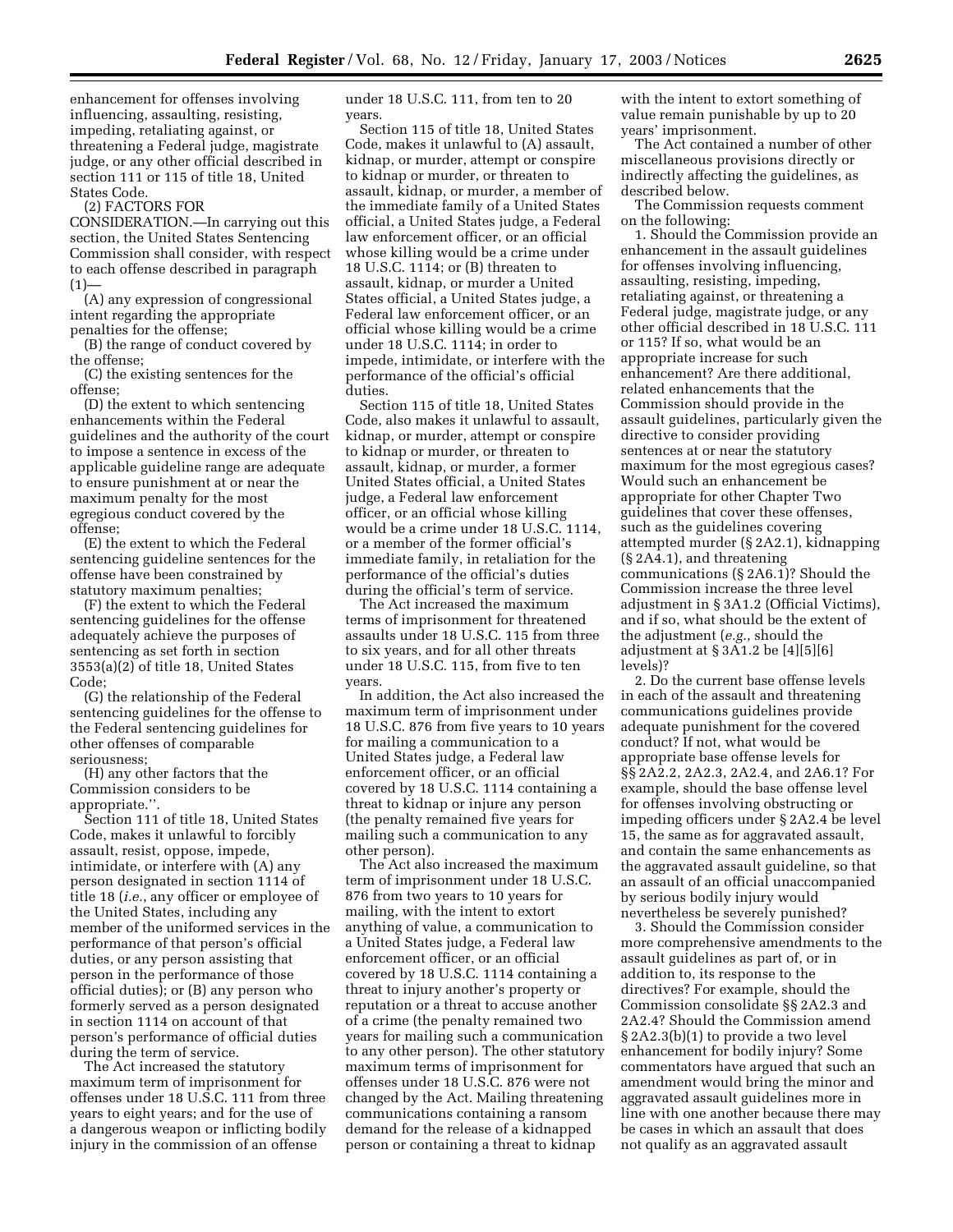enhancement for offenses involving influencing, assaulting, resisting, impeding, retaliating against, or threatening a Federal judge, magistrate judge, or any other official described in section 111 or 115 of title 18, United States Code.

(2) FACTORS FOR

CONSIDERATION.—In carrying out this section, the United States Sentencing Commission shall consider, with respect to each offense described in paragraph  $(1)$ 

(A) any expression of congressional intent regarding the appropriate penalties for the offense;

(B) the range of conduct covered by the offense;

(C) the existing sentences for the offense;

(D) the extent to which sentencing enhancements within the Federal guidelines and the authority of the court to impose a sentence in excess of the applicable guideline range are adequate to ensure punishment at or near the maximum penalty for the most egregious conduct covered by the offense;

(E) the extent to which the Federal sentencing guideline sentences for the offense have been constrained by statutory maximum penalties;

(F) the extent to which the Federal sentencing guidelines for the offense adequately achieve the purposes of sentencing as set forth in section 3553(a)(2) of title 18, United States Code;

(G) the relationship of the Federal sentencing guidelines for the offense to the Federal sentencing guidelines for other offenses of comparable seriousness;

(H) any other factors that the Commission considers to be appropriate.''.

Section 111 of title 18, United States Code, makes it unlawful to forcibly assault, resist, oppose, impede, intimidate, or interfere with (A) any person designated in section 1114 of title 18 (*i.e.*, any officer or employee of the United States, including any member of the uniformed services in the performance of that person's official duties, or any person assisting that person in the performance of those official duties); or (B) any person who formerly served as a person designated in section 1114 on account of that person's performance of official duties during the term of service.

The Act increased the statutory maximum term of imprisonment for offenses under 18 U.S.C. 111 from three years to eight years; and for the use of a dangerous weapon or inflicting bodily injury in the commission of an offense

under 18 U.S.C. 111, from ten to 20 years.

Section 115 of title 18, United States Code, makes it unlawful to (A) assault, kidnap, or murder, attempt or conspire to kidnap or murder, or threaten to assault, kidnap, or murder, a member of the immediate family of a United States official, a United States judge, a Federal law enforcement officer, or an official whose killing would be a crime under 18 U.S.C. 1114; or (B) threaten to assault, kidnap, or murder a United States official, a United States judge, a Federal law enforcement officer, or an official whose killing would be a crime under 18 U.S.C. 1114; in order to impede, intimidate, or interfere with the performance of the official's official duties.

Section 115 of title 18, United States Code, also makes it unlawful to assault, kidnap, or murder, attempt or conspire to kidnap or murder, or threaten to assault, kidnap, or murder, a former United States official, a United States judge, a Federal law enforcement officer, or an official whose killing would be a crime under 18 U.S.C. 1114, or a member of the former official's immediate family, in retaliation for the performance of the official's duties during the official's term of service.

The Act increased the maximum terms of imprisonment for threatened assaults under 18 U.S.C. 115 from three to six years, and for all other threats under 18 U.S.C. 115, from five to ten years.

In addition, the Act also increased the maximum term of imprisonment under 18 U.S.C. 876 from five years to 10 years for mailing a communication to a United States judge, a Federal law enforcement officer, or an official covered by 18 U.S.C. 1114 containing a threat to kidnap or injure any person (the penalty remained five years for mailing such a communication to any other person).

The Act also increased the maximum term of imprisonment under 18 U.S.C. 876 from two years to 10 years for mailing, with the intent to extort anything of value, a communication to a United States judge, a Federal law enforcement officer, or an official covered by 18 U.S.C. 1114 containing a threat to injury another's property or reputation or a threat to accuse another of a crime (the penalty remained two years for mailing such a communication to any other person). The other statutory maximum terms of imprisonment for offenses under 18 U.S.C. 876 were not changed by the Act. Mailing threatening communications containing a ransom demand for the release of a kidnapped person or containing a threat to kidnap

with the intent to extort something of value remain punishable by up to 20 years' imprisonment.

The Act contained a number of other miscellaneous provisions directly or indirectly affecting the guidelines, as described below.

The Commission requests comment on the following:

1. Should the Commission provide an enhancement in the assault guidelines for offenses involving influencing, assaulting, resisting, impeding, retaliating against, or threatening a Federal judge, magistrate judge, or any other official described in 18 U.S.C. 111 or 115? If so, what would be an appropriate increase for such enhancement? Are there additional, related enhancements that the Commission should provide in the assault guidelines, particularly given the directive to consider providing sentences at or near the statutory maximum for the most egregious cases? Would such an enhancement be appropriate for other Chapter Two guidelines that cover these offenses, such as the guidelines covering attempted murder (§ 2A2.1), kidnapping (§ 2A4.1), and threatening communications (§ 2A6.1)? Should the Commission increase the three level adjustment in § 3A1.2 (Official Victims), and if so, what should be the extent of the adjustment (*e.g.*, should the adjustment at § 3A1.2 be [4][5][6] levels)?

2. Do the current base offense levels in each of the assault and threatening communications guidelines provide adequate punishment for the covered conduct? If not, what would be appropriate base offense levels for §§ 2A2.2, 2A2.3, 2A2.4, and 2A6.1? For example, should the base offense level for offenses involving obstructing or impeding officers under § 2A2.4 be level 15, the same as for aggravated assault, and contain the same enhancements as the aggravated assault guideline, so that an assault of an official unaccompanied by serious bodily injury would nevertheless be severely punished?

3. Should the Commission consider more comprehensive amendments to the assault guidelines as part of, or in addition to, its response to the directives? For example, should the Commission consolidate §§ 2A2.3 and 2A2.4? Should the Commission amend § 2A2.3(b)(1) to provide a two level enhancement for bodily injury? Some commentators have argued that such an amendment would bring the minor and aggravated assault guidelines more in line with one another because there may be cases in which an assault that does not qualify as an aggravated assault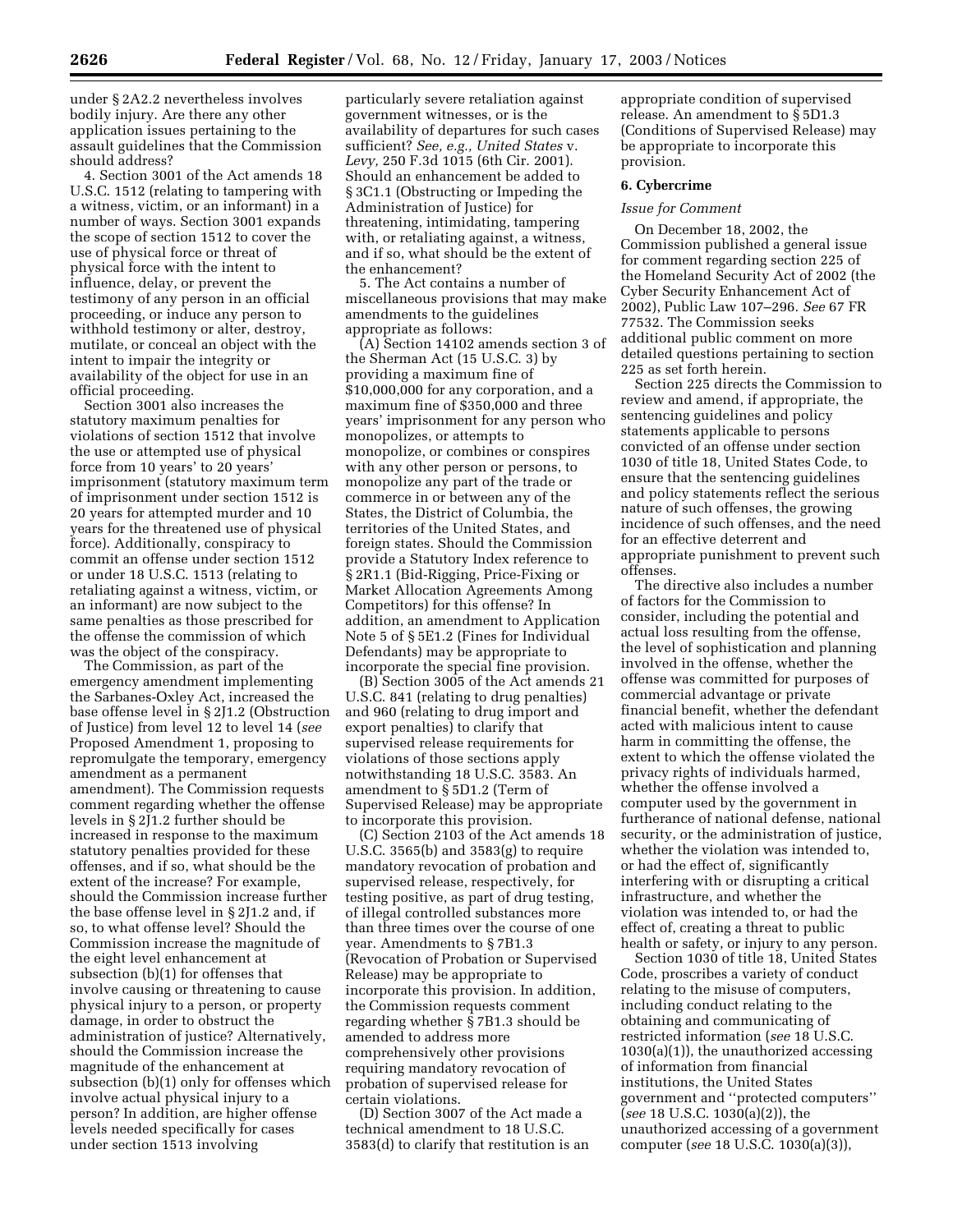under § 2A2.2 nevertheless involves bodily injury. Are there any other application issues pertaining to the assault guidelines that the Commission should address?

4. Section 3001 of the Act amends 18 U.S.C. 1512 (relating to tampering with a witness, victim, or an informant) in a number of ways. Section 3001 expands the scope of section 1512 to cover the use of physical force or threat of physical force with the intent to influence, delay, or prevent the testimony of any person in an official proceeding, or induce any person to withhold testimony or alter, destroy, mutilate, or conceal an object with the intent to impair the integrity or availability of the object for use in an official proceeding.

Section 3001 also increases the statutory maximum penalties for violations of section 1512 that involve the use or attempted use of physical force from 10 years' to 20 years' imprisonment (statutory maximum term of imprisonment under section 1512 is 20 years for attempted murder and 10 years for the threatened use of physical force). Additionally, conspiracy to commit an offense under section 1512 or under 18 U.S.C. 1513 (relating to retaliating against a witness, victim, or an informant) are now subject to the same penalties as those prescribed for the offense the commission of which was the object of the conspiracy.

The Commission, as part of the emergency amendment implementing the Sarbanes-Oxley Act, increased the base offense level in § 2J1.2 (Obstruction of Justice) from level 12 to level 14 (*see* Proposed Amendment 1, proposing to repromulgate the temporary, emergency amendment as a permanent amendment). The Commission requests comment regarding whether the offense levels in § 2J1.2 further should be increased in response to the maximum statutory penalties provided for these offenses, and if so, what should be the extent of the increase? For example, should the Commission increase further the base offense level in § 2J1.2 and, if so, to what offense level? Should the Commission increase the magnitude of the eight level enhancement at subsection (b)(1) for offenses that involve causing or threatening to cause physical injury to a person, or property damage, in order to obstruct the administration of justice? Alternatively, should the Commission increase the magnitude of the enhancement at subsection (b)(1) only for offenses which involve actual physical injury to a person? In addition, are higher offense levels needed specifically for cases under section 1513 involving

particularly severe retaliation against government witnesses, or is the availability of departures for such cases sufficient? *See, e.g., United States* v. *Levy,* 250 F.3d 1015 (6th Cir. 2001). Should an enhancement be added to § 3C1.1 (Obstructing or Impeding the Administration of Justice) for threatening, intimidating, tampering with, or retaliating against, a witness, and if so, what should be the extent of the enhancement?

5. The Act contains a number of miscellaneous provisions that may make amendments to the guidelines appropriate as follows:

(A) Section 14102 amends section 3 of the Sherman Act (15 U.S.C. 3) by providing a maximum fine of \$10,000,000 for any corporation, and a maximum fine of \$350,000 and three years' imprisonment for any person who monopolizes, or attempts to monopolize, or combines or conspires with any other person or persons, to monopolize any part of the trade or commerce in or between any of the States, the District of Columbia, the territories of the United States, and foreign states. Should the Commission provide a Statutory Index reference to § 2R1.1 (Bid-Rigging, Price-Fixing or Market Allocation Agreements Among Competitors) for this offense? In addition, an amendment to Application Note 5 of § 5E1.2 (Fines for Individual Defendants) may be appropriate to incorporate the special fine provision.

(B) Section 3005 of the Act amends 21 U.S.C. 841 (relating to drug penalties) and 960 (relating to drug import and export penalties) to clarify that supervised release requirements for violations of those sections apply notwithstanding 18 U.S.C. 3583. An amendment to § 5D1.2 (Term of Supervised Release) may be appropriate to incorporate this provision.

(C) Section 2103 of the Act amends 18 U.S.C. 3565(b) and 3583(g) to require mandatory revocation of probation and supervised release, respectively, for testing positive, as part of drug testing, of illegal controlled substances more than three times over the course of one year. Amendments to § 7B1.3 (Revocation of Probation or Supervised Release) may be appropriate to incorporate this provision. In addition, the Commission requests comment regarding whether § 7B1.3 should be amended to address more comprehensively other provisions requiring mandatory revocation of probation of supervised release for certain violations.

(D) Section 3007 of the Act made a technical amendment to 18 U.S.C. 3583(d) to clarify that restitution is an

appropriate condition of supervised release. An amendment to § 5D1.3 (Conditions of Supervised Release) may be appropriate to incorporate this provision.

### **6. Cybercrime**

### *Issue for Comment*

On December 18, 2002, the Commission published a general issue for comment regarding section 225 of the Homeland Security Act of 2002 (the Cyber Security Enhancement Act of 2002), Public Law 107–296. *See* 67 FR 77532. The Commission seeks additional public comment on more detailed questions pertaining to section 225 as set forth herein.

Section 225 directs the Commission to review and amend, if appropriate, the sentencing guidelines and policy statements applicable to persons convicted of an offense under section 1030 of title 18, United States Code, to ensure that the sentencing guidelines and policy statements reflect the serious nature of such offenses, the growing incidence of such offenses, and the need for an effective deterrent and appropriate punishment to prevent such offenses.

The directive also includes a number of factors for the Commission to consider, including the potential and actual loss resulting from the offense, the level of sophistication and planning involved in the offense, whether the offense was committed for purposes of commercial advantage or private financial benefit, whether the defendant acted with malicious intent to cause harm in committing the offense, the extent to which the offense violated the privacy rights of individuals harmed, whether the offense involved a computer used by the government in furtherance of national defense, national security, or the administration of justice, whether the violation was intended to, or had the effect of, significantly interfering with or disrupting a critical infrastructure, and whether the violation was intended to, or had the effect of, creating a threat to public health or safety, or injury to any person.

Section 1030 of title 18, United States Code, proscribes a variety of conduct relating to the misuse of computers, including conduct relating to the obtaining and communicating of restricted information (*see* 18 U.S.C. 1030(a)(1)), the unauthorized accessing of information from financial institutions, the United States government and ''protected computers'' (*see* 18 U.S.C. 1030(a)(2)), the unauthorized accessing of a government computer (*see* 18 U.S.C. 1030(a)(3)),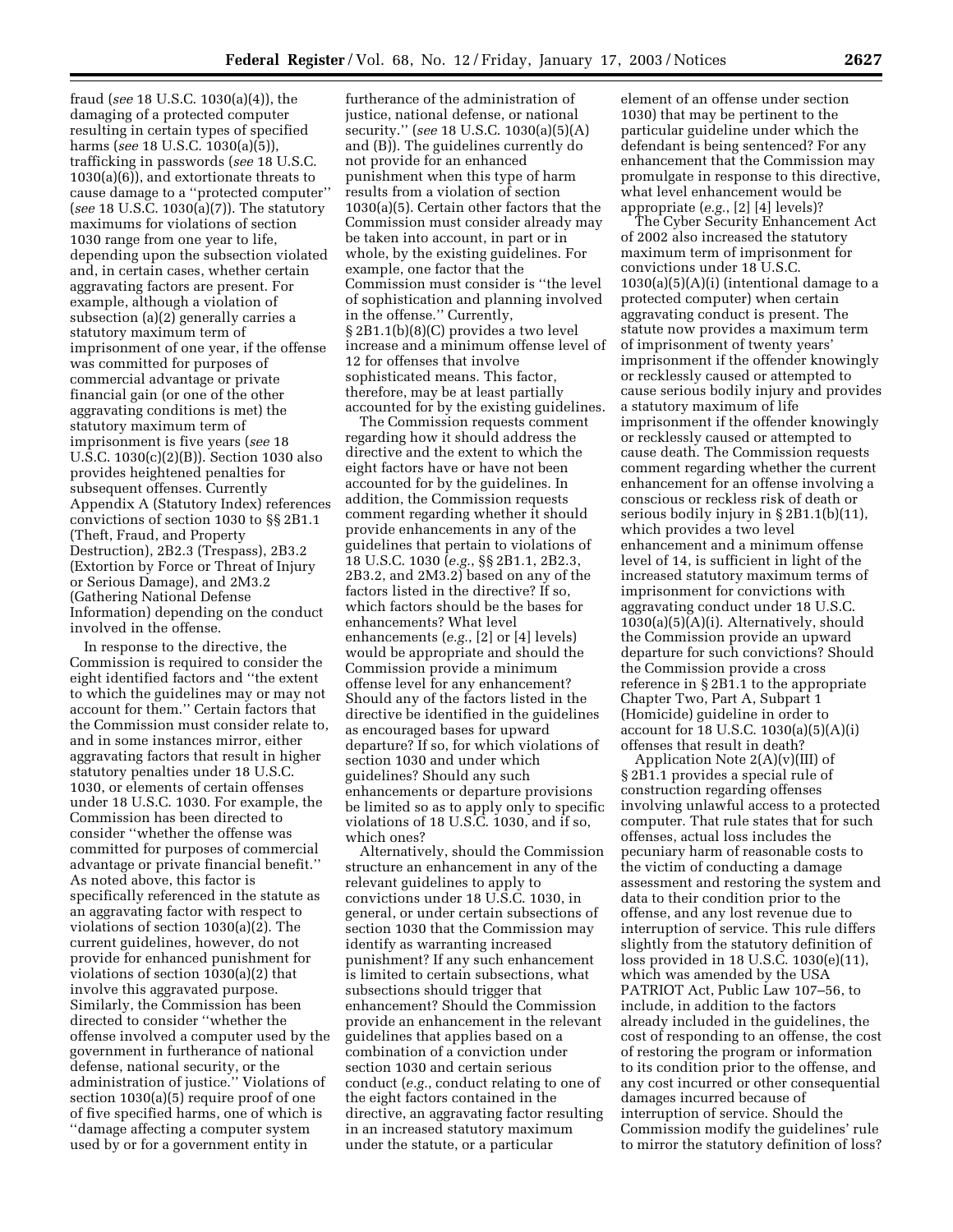fraud (*see* 18 U.S.C. 1030(a)(4)), the damaging of a protected computer resulting in certain types of specified harms (*see* 18 U.S.C. 1030(a)(5)), trafficking in passwords (*see* 18 U.S.C. 1030(a)(6)), and extortionate threats to cause damage to a ''protected computer'' (*see* 18 U.S.C. 1030(a)(7)). The statutory maximums for violations of section 1030 range from one year to life, depending upon the subsection violated and, in certain cases, whether certain aggravating factors are present. For example, although a violation of subsection (a)(2) generally carries a statutory maximum term of imprisonment of one year, if the offense was committed for purposes of commercial advantage or private financial gain (or one of the other aggravating conditions is met) the statutory maximum term of imprisonment is five years (*see* 18 U.S.C. 1030(c)(2)(B)). Section 1030 also provides heightened penalties for subsequent offenses. Currently Appendix A (Statutory Index) references convictions of section 1030 to §§ 2B1.1 (Theft, Fraud, and Property Destruction), 2B2.3 (Trespass), 2B3.2 (Extortion by Force or Threat of Injury or Serious Damage), and 2M3.2 (Gathering National Defense Information) depending on the conduct involved in the offense.

In response to the directive, the Commission is required to consider the eight identified factors and ''the extent to which the guidelines may or may not account for them.'' Certain factors that the Commission must consider relate to, and in some instances mirror, either aggravating factors that result in higher statutory penalties under 18 U.S.C. 1030, or elements of certain offenses under 18 U.S.C. 1030. For example, the Commission has been directed to consider ''whether the offense was committed for purposes of commercial advantage or private financial benefit.'' As noted above, this factor is specifically referenced in the statute as an aggravating factor with respect to violations of section 1030(a)(2). The current guidelines, however, do not provide for enhanced punishment for violations of section 1030(a)(2) that involve this aggravated purpose. Similarly, the Commission has been directed to consider ''whether the offense involved a computer used by the government in furtherance of national defense, national security, or the administration of justice.'' Violations of section 1030(a)(5) require proof of one of five specified harms, one of which is ''damage affecting a computer system used by or for a government entity in

furtherance of the administration of justice, national defense, or national security.'' (*see* 18 U.S.C. 1030(a)(5)(A) and (B)). The guidelines currently do not provide for an enhanced punishment when this type of harm results from a violation of section 1030(a)(5). Certain other factors that the Commission must consider already may be taken into account, in part or in whole, by the existing guidelines. For example, one factor that the Commission must consider is ''the level of sophistication and planning involved in the offense.'' Currently, § 2B1.1(b)(8)(C) provides a two level increase and a minimum offense level of 12 for offenses that involve sophisticated means. This factor, therefore, may be at least partially accounted for by the existing guidelines.

The Commission requests comment regarding how it should address the directive and the extent to which the eight factors have or have not been accounted for by the guidelines. In addition, the Commission requests comment regarding whether it should provide enhancements in any of the guidelines that pertain to violations of 18 U.S.C. 1030 (*e.g.*, §§ 2B1.1, 2B2.3, 2B3.2, and 2M3.2) based on any of the factors listed in the directive? If so, which factors should be the bases for enhancements? What level enhancements (*e.g.*, [2] or [4] levels) would be appropriate and should the Commission provide a minimum offense level for any enhancement? Should any of the factors listed in the directive be identified in the guidelines as encouraged bases for upward departure? If so, for which violations of section 1030 and under which guidelines? Should any such enhancements or departure provisions be limited so as to apply only to specific violations of 18 U.S.C. 1030, and if so, which ones?

Alternatively, should the Commission structure an enhancement in any of the relevant guidelines to apply to convictions under 18 U.S.C. 1030, in general, or under certain subsections of section 1030 that the Commission may identify as warranting increased punishment? If any such enhancement is limited to certain subsections, what subsections should trigger that enhancement? Should the Commission provide an enhancement in the relevant guidelines that applies based on a combination of a conviction under section 1030 and certain serious conduct (*e.g.*, conduct relating to one of the eight factors contained in the directive, an aggravating factor resulting in an increased statutory maximum under the statute, or a particular

element of an offense under section 1030) that may be pertinent to the particular guideline under which the defendant is being sentenced? For any enhancement that the Commission may promulgate in response to this directive, what level enhancement would be appropriate (*e.g.*, [2] [4] levels)?

The Cyber Security Enhancement Act of 2002 also increased the statutory maximum term of imprisonment for convictions under 18 U.S.C.  $1030(a)(5)(A)(i)$  (intentional damage to a protected computer) when certain aggravating conduct is present. The statute now provides a maximum term of imprisonment of twenty years' imprisonment if the offender knowingly or recklessly caused or attempted to cause serious bodily injury and provides a statutory maximum of life imprisonment if the offender knowingly or recklessly caused or attempted to cause death. The Commission requests comment regarding whether the current enhancement for an offense involving a conscious or reckless risk of death or serious bodily injury in § 2B1.1(b)(11), which provides a two level enhancement and a minimum offense level of 14, is sufficient in light of the increased statutory maximum terms of imprisonment for convictions with aggravating conduct under 18 U.S.C. 1030(a)(5)(A)(i). Alternatively, should the Commission provide an upward departure for such convictions? Should the Commission provide a cross reference in § 2B1.1 to the appropriate Chapter Two, Part A, Subpart 1 (Homicide) guideline in order to account for 18 U.S.C.  $1030(a)(5)(A)(i)$ offenses that result in death?

Application Note  $2(A)(v)(III)$  of § 2B1.1 provides a special rule of construction regarding offenses involving unlawful access to a protected computer. That rule states that for such offenses, actual loss includes the pecuniary harm of reasonable costs to the victim of conducting a damage assessment and restoring the system and data to their condition prior to the offense, and any lost revenue due to interruption of service. This rule differs slightly from the statutory definition of loss provided in 18 U.S.C. 1030(e)(11), which was amended by the USA PATRIOT Act, Public Law 107–56, to include, in addition to the factors already included in the guidelines, the cost of responding to an offense, the cost of restoring the program or information to its condition prior to the offense, and any cost incurred or other consequential damages incurred because of interruption of service. Should the Commission modify the guidelines' rule to mirror the statutory definition of loss?